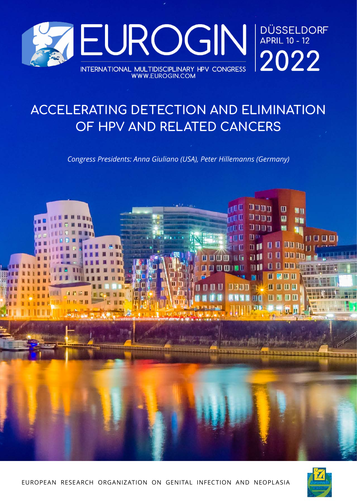

# **ACCELERATING DETECTION AND ELIMINATION OF HPV AND RELATED CANCERS**

*Congress Presidents: Anna Giuliano (USA), Peter Hillemanns (Germany)*



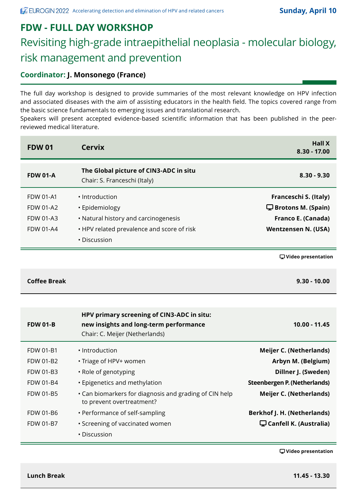#### **FDW - FULL DAY WORKSHOP**

# Revisiting high-grade intraepithelial neoplasia - molecular biology, risk management and prevention

#### **Coordinator: J. Monsonego (France)**

The full day workshop is designed to provide summaries of the most relevant knowledge on HPV infection and associated diseases with the aim of assisting educators in the health field. The topics covered range from the basic science fundamentals to emerging issues and translational research.

Speakers will present accepted evidence-based scientific information that has been published in the peerreviewed medical literature.

| <b>FDW 01</b>       | <b>Cervix</b>                                                                                                          | <b>Hall X</b><br>8.30 - 17.00                   |
|---------------------|------------------------------------------------------------------------------------------------------------------------|-------------------------------------------------|
| <b>FDW 01-A</b>     | The Global picture of CIN3-ADC in situ<br>Chair: S. Franceschi (Italy)                                                 | $8.30 - 9.30$                                   |
| <b>FDW 01-A1</b>    | • Introduction                                                                                                         | Franceschi S. (Italy)                           |
| <b>FDW 01-A2</b>    | · Epidemiology                                                                                                         | $\mathbf{\mathbf{\Box}}$ Brotons M. (Spain)     |
| <b>FDW 01-A3</b>    | • Natural history and carcinogenesis                                                                                   | Franco E. (Canada)                              |
| <b>FDW 01-A4</b>    | • HPV related prevalence and score of risk                                                                             | <b>Wentzensen N. (USA)</b>                      |
|                     | • Discussion                                                                                                           |                                                 |
|                     |                                                                                                                        | <b></b> U Video presentation                    |
| <b>Coffee Break</b> |                                                                                                                        | $9.30 - 10.00$                                  |
|                     |                                                                                                                        |                                                 |
| <b>FDW 01-B</b>     | HPV primary screening of CIN3-ADC in situ:<br>new insights and long-term performance<br>Chair: C. Meijer (Netherlands) | $10.00 - 11.45$                                 |
| <b>FDW 01-B1</b>    | · Introduction                                                                                                         | <b>Meijer C. (Netherlands)</b>                  |
| <b>FDW 01-B2</b>    | • Triage of HPV+ women                                                                                                 | Arbyn M. (Belgium)                              |
| FDW 01-B3           | • Role of genotyping                                                                                                   | Dillner J. (Sweden)                             |
| <b>FDW 01-B4</b>    | • Epigenetics and methylation                                                                                          | <b>Steenbergen P. (Netherlands)</b>             |
| FDW 01-B5           | • Can biomarkers for diagnosis and grading of CIN help<br>to prevent overtreatment?                                    | <b>Meijer C. (Netherlands)</b>                  |
| FDW 01-B6           | • Performance of self-sampling                                                                                         | <b>Berkhof J. H. (Netherlands)</b>              |
| <b>FDW 01-B7</b>    | • Screening of vaccinated women                                                                                        | $\mathbf{\mathbf{\Box}}$ Canfell K. (Australia) |
|                     | • Discussion                                                                                                           |                                                 |

 **Video presentation**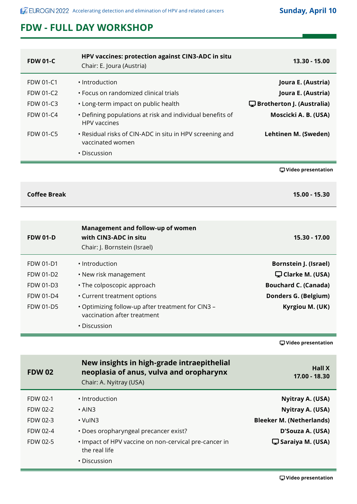## **FDW - FULL DAY WORKSHOP**

| 13.30 - 15.00                            | HPV vaccines: protection against CIN3-ADC in situ<br>Chair: E. Joura (Austria)             | <b>FDW 01-C</b>     |
|------------------------------------------|--------------------------------------------------------------------------------------------|---------------------|
| Joura E. (Austria)                       | • Introduction                                                                             | <b>FDW 01-C1</b>    |
| Joura E. (Austria)                       | • Focus on randomized clinical trials                                                      | <b>FDW 01-C2</b>    |
| $\mathbf \Box$ Brotherton J. (Australia) | • Long-term impact on public health                                                        | <b>FDW 01-C3</b>    |
| Moscicki A. B. (USA)                     | • Defining populations at risk and individual benefits of<br><b>HPV</b> vaccines           | <b>FDW 01-C4</b>    |
| Lehtinen M. (Sweden)                     | • Residual risks of CIN-ADC in situ in HPV screening and<br>vaccinated women               | <b>FDW 01-C5</b>    |
|                                          | • Discussion                                                                               |                     |
| <b></b> U Video presentation             |                                                                                            |                     |
| 15.00 - 15.30                            |                                                                                            | <b>Coffee Break</b> |
|                                          |                                                                                            |                     |
| 15.30 - 17.00                            | Management and follow-up of women<br>with CIN3-ADC in situ<br>Chair: J. Bornstein (Israel) | <b>FDW 01-D</b>     |

| <b>Bornstein J. (Israel)</b> | · Introduction                                                                   | FDW 01-D1        |
|------------------------------|----------------------------------------------------------------------------------|------------------|
| Clarke M. (USA)              | • New risk management                                                            | <b>FDW 01-D2</b> |
| <b>Bouchard C. (Canada)</b>  | • The colposcopic approach                                                       | FDW 01-D3        |
| Donders G. (Belgium)         | • Current treatment options                                                      | <b>FDW 01-D4</b> |
| Kyrgiou M. (UK)              | . Optimizing follow-up after treatment for CIN3 -<br>vaccination after treatment | <b>FDW 01-D5</b> |
|                              | • Discussion                                                                     |                  |
|                              |                                                                                  |                  |

 **Video presentation**

| <b>FDW 02</b> | New insights in high-grade intraepithelial<br>neoplasia of anus, vulva and oropharynx<br>Chair: A. Nyitray (USA) | <b>Hall X</b><br>17.00 - 18.30  |
|---------------|------------------------------------------------------------------------------------------------------------------|---------------------------------|
| FDW 02-1      | • Introduction                                                                                                   | Nyitray A. (USA)                |
| FDW 02-2      | $\cdot$ AIN3                                                                                                     | Nyitray A. (USA)                |
| FDW 02-3      | $\cdot$ VulN3                                                                                                    | <b>Bleeker M. (Netherlands)</b> |
| FDW 02-4      | • Does oropharyngeal precancer exist?                                                                            | D'Souza A. (USA)                |
| FDW 02-5      | . Impact of HPV vaccine on non-cervical pre-cancer in<br>the real life                                           | $\Box$ Saraiya M. (USA)         |
|               | • Discussion                                                                                                     |                                 |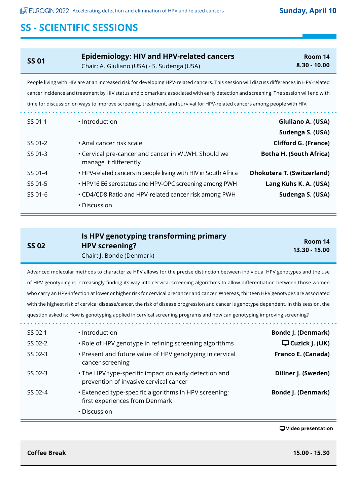| <b>SS 01</b> | Epidemiology: HIV and HPV-related cancers<br>Chair: A. Giuliano (USA) - S. Sudenga (USA)                                                 | Room 14<br>$8.30 - 10.00$ |
|--------------|------------------------------------------------------------------------------------------------------------------------------------------|---------------------------|
|              | People living with HIV are at an increased risk for developing HPV-related cancers. This session will discuss differences in HPV-related |                           |

cancer incidence and treatment by HIV status and biomarkers associated with early detection and screening. The session will end with time for discussion on ways to improve screening, treatment, and survival for HPV-related cancers among people with HIV.

| Giuliano A. (USA)                 | · Introduction                                                               | SS 01-1 |
|-----------------------------------|------------------------------------------------------------------------------|---------|
| Sudenga S. (USA)                  |                                                                              |         |
| <b>Clifford G. (France)</b>       | • Anal cancer risk scale                                                     | SS 01-2 |
| <b>Botha H. (South Africa)</b>    | • Cervical pre-cancer and cancer in WLWH: Should we<br>manage it differently | SS 01-3 |
| <b>Dhokotera T. (Switzerland)</b> | • HPV-related cancers in people living with HIV in South Africa              | SS 01-4 |
| Lang Kuhs K. A. (USA)             | • HPV16 E6 serostatus and HPV-OPC screening among PWH                        | SS 01-5 |
| Sudenga S. (USA)                  | • CD4/CD8 Ratio and HPV-related cancer risk among PWH                        | SS 01-6 |
|                                   | • Discussion                                                                 |         |

| <b>SS 02</b> | Is HPV genotyping transforming primary<br><b>HPV</b> screening? | Room 14       |
|--------------|-----------------------------------------------------------------|---------------|
|              |                                                                 | 13.30 - 15.00 |
|              | Chair: J. Bonde (Denmark)                                       |               |

Advanced molecular methods to characterize HPV allows for the precise distinction between individual HPV genotypes and the use of HPV genotyping is increasingly finding its way into cervical screening algorithms to allow differentiation between those women who carry an HPV-infection at lower or higher risk for cervical precancer and cancer. Whereas, thirteen HPV genotypes are associated with the highest risk of cervical disease/cancer, the risk of disease progression and cancer is genotype dependent. In this session, the question asked is: How is genotyping applied in cervical screening programs and how can genotyping improving screening?

| SS 02-1 | • Introduction                                                                                  | <b>Bonde J. (Denmark)</b>     |
|---------|-------------------------------------------------------------------------------------------------|-------------------------------|
| SS 02-2 | . Role of HPV genotype in refining screening algorithms                                         | $\mathbf \Box$ Cuzick J. (UK) |
| SS 02-3 | • Present and future value of HPV genotyping in cervical<br>cancer screening                    | Franco E. (Canada)            |
| SS 02-3 | • The HPV type-specific impact on early detection and<br>prevention of invasive cervical cancer | Dillner J. (Sweden)           |
| SS 02-4 | . Extended type-specific algorithms in HPV screening;<br>first experiences from Denmark         | <b>Bonde J. (Denmark)</b>     |
|         | • Discussion                                                                                    |                               |
|         |                                                                                                 |                               |

 **Video presentation**

**Coffee Break 15.00 - 15.30**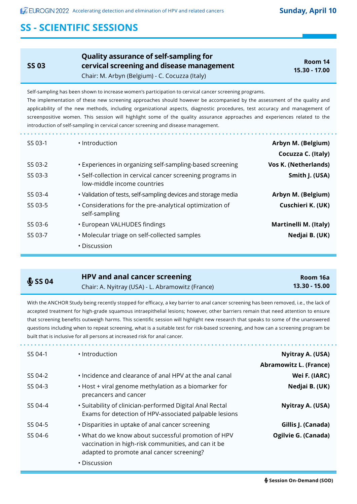**SS 03**

**Quality assurance of self-sampling for cervical screening and disease management** Chair: M. Arbyn (Belgium) - C. Cocuzza (Italy)

**Room 14 15.30 - 17.00**

Self-sampling has been shown to increase women's participation to cervical cancer screening programs. The implementation of these new screening approaches should however be accompanied by the assessment of the quality and applicability of the new methods, including organizational aspects, diagnostic procedures, test accuracy and management of screenpositive women. This session will highlight some of the quality assurance approaches and experiences related to the introduction of self-sampling in cervical cancer screening and disease management.

| Arbyn M. (Belgium)          | • Introduction                                                                            | SS 03-1 |
|-----------------------------|-------------------------------------------------------------------------------------------|---------|
| Cocuzza C. (Italy)          |                                                                                           |         |
| <b>Vos K. (Netherlands)</b> | • Experiences in organizing self-sampling-based screening                                 | SS 03-2 |
| Smith J. (USA)              | • Self-collection in cervical cancer screening programs in<br>low-middle income countries | SS 03-3 |
| Arbyn M. (Belgium)          | • Validation of tests, self-sampling devices and storage media                            | SS 03-4 |
| Cuschieri K. (UK)           | • Considerations for the pre-analytical optimization of<br>self-sampling                  | SS 03-5 |
| Martinelli M. (Italy)       | • European VALHUDES findings                                                              | SS 03-6 |
| Nedjai B. (UK)              | • Molecular triage on self-collected samples                                              | SS 03-7 |
|                             | • Discussion                                                                              |         |
|                             |                                                                                           |         |

| \$S504 | HPV and anal cancer screening                    | Room 16a      |
|--------|--------------------------------------------------|---------------|
|        | Chair: A. Nyitray (USA) - L. Abramowitz (France) | 13.30 - 15.00 |

With the ANCHOR Study being recently stopped for efficacy, a key barrier to anal cancer screening has been removed, i.e., the lack of accepted treatment for high-grade squamous intraepithelial lesions; however, other barriers remain that need attention to ensure that screening benefits outweigh harms. This scientific session will highlight new research that speaks to some of the unanswered questions including when to repeat screening, what is a suitable test for risk-based screening, and how can a screening program be built that is inclusive for all persons at increased risk for anal cancer.

| SS 04-1 | • Introduction                                                                                                                                                          | Nyitray A. (USA)<br><b>Abramowitz L. (France)</b> |
|---------|-------------------------------------------------------------------------------------------------------------------------------------------------------------------------|---------------------------------------------------|
| SS 04-2 | • Incidence and clearance of anal HPV at the anal canal                                                                                                                 | Wei F. (IARC)                                     |
| SS 04-3 | • Host + viral genome methylation as a biomarker for<br>precancers and cancer                                                                                           | Nedjai B. (UK)                                    |
| SS 04-4 | • Suitability of clinician-performed Digital Anal Rectal<br>Exams for detection of HPV-associated palpable lesions                                                      | Nyitray A. (USA)                                  |
| SS 04-5 | • Disparities in uptake of anal cancer screening                                                                                                                        | Gillis J. (Canada)                                |
| SS 04-6 | . What do we know about successful promotion of HPV<br>vaccination in high-risk communities, and can it be<br>adapted to promote anal cancer screening?<br>• Discussion | Ogilvie G. (Canada)                               |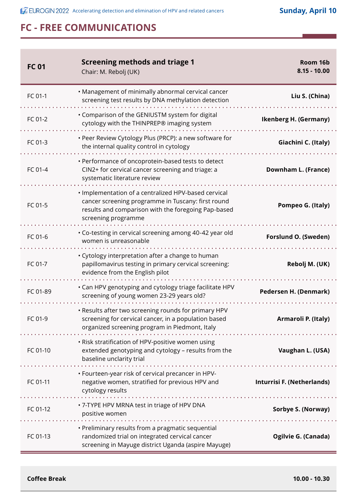| <b>FC 01</b> | <b>Screening methods and triage 1</b><br>Chair: M. Rebolj (UK)                                                                                                                           | Room 16b<br>$8.15 - 10.00$   |
|--------------|------------------------------------------------------------------------------------------------------------------------------------------------------------------------------------------|------------------------------|
| FC 01-1      | • Management of minimally abnormal cervical cancer<br>screening test results by DNA methylation detection                                                                                | Liu S. (China)               |
| FC 01-2      | • Comparison of the GENIUSTM system for digital<br>cytology with the THINPREP® imaging system                                                                                            | <b>Ikenberg H. (Germany)</b> |
| FC 01-3      | • Peer Review Cytology Plus (PRCP): a new software for<br>the internal quality control in cytology                                                                                       | Giachini C. (Italy)          |
| FC 01-4      | • Performance of oncoprotein-based tests to detect<br>CIN2+ for cervical cancer screening and triage: a<br>systematic literature review                                                  | Downham L. (France)          |
| FC 01-5      | · Implementation of a centralized HPV-based cervical<br>cancer screening programme in Tuscany: first round<br>results and comparison with the foregoing Pap-based<br>screening programme | Pompeo G. (Italy)            |
| FC 01-6      | • Co-testing in cervical screening among 40-42 year old<br>women is unreasonable                                                                                                         | Forslund O. (Sweden)         |
| FC 01-7      | • Cytology interpretation after a change to human<br>papillomavirus testing in primary cervical screening:<br>evidence from the English pilot                                            | Rebolj M. (UK)               |
| FC 01-89     | • Can HPV genotyping and cytology triage facilitate HPV<br>screening of young women 23-29 years old?                                                                                     | Pedersen H. (Denmark)        |
| FC 01-9      | . Results after two screening rounds for primary HPV<br>screening for cervical cancer, in a population based<br>organized screening program in Piedmont, Italy                           | Armaroli P. (Italy)          |
| FC 01-10     | . Risk stratification of HPV-positive women using<br>extended genotyping and cytology - results from the<br>baseline unclarity trial<br>.                                                | Vaughan L. (USA)             |
| FC 01-11     | • Fourteen-year risk of cervical precancer in HPV-<br>negative women, stratified for previous HPV and<br>cytology results<br>.                                                           | Inturrisi F. (Netherlands)   |
| FC 01-12     | · 7-TYPE HPV MRNA test in triage of HPV DNA<br>positive women                                                                                                                            | Sorbye S. (Norway)           |
| FC 01-13     | • Preliminary results from a pragmatic sequential<br>randomized trial on integrated cervical cancer<br>screening in Mayuge district Uganda (aspire Mayuge)                               | Ogilvie G. (Canada)          |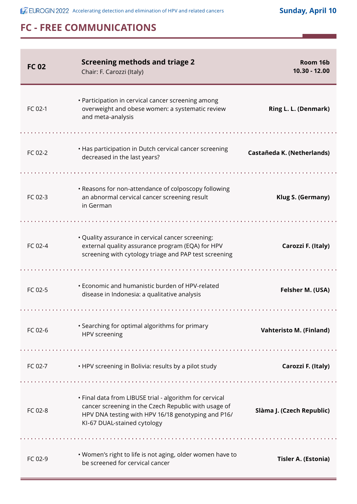ż,

| <b>FC 02</b> | <b>Screening methods and triage 2</b><br>Chair: F. Carozzi (Italy)                                                                                                                                   | Room 16b<br>10.30 - 12.00      |
|--------------|------------------------------------------------------------------------------------------------------------------------------------------------------------------------------------------------------|--------------------------------|
| FC 02-1      | • Participation in cervical cancer screening among<br>overweight and obese women: a systematic review<br>and meta-analysis                                                                           | Ring L. L. (Denmark)           |
|              |                                                                                                                                                                                                      |                                |
| FC 02-2      | • Has participation in Dutch cervical cancer screening<br>decreased in the last years?                                                                                                               | Castañeda K. (Netherlands)     |
|              |                                                                                                                                                                                                      |                                |
| FC 02-3      | • Reasons for non-attendance of colposcopy following<br>an abnormal cervical cancer screening result<br>in German                                                                                    | Klug S. (Germany)              |
|              |                                                                                                                                                                                                      |                                |
| FC 02-4      | • Quality assurance in cervical cancer screening:<br>external quality assurance program (EQA) for HPV<br>screening with cytology triage and PAP test screening                                       | Carozzi F. (Italy)             |
| FC 02-5      | • Economic and humanistic burden of HPV-related<br>disease in Indonesia: a qualitative analysis                                                                                                      | Felsher M. (USA)               |
| FC 02-6      | • Searching for optimal algorithms for primary<br>HPV screening                                                                                                                                      | <b>Vahteristo M. (Finland)</b> |
| FC 02-7      | . HPV screening in Bolivia: results by a pilot study                                                                                                                                                 | Carozzi F. (Italy)             |
| FC 02-8      | • Final data from LIBUSE trial - algorithm for cervical<br>cancer screening in the Czech Republic with usage of<br>HPV DNA testing with HPV 16/18 genotyping and P16/<br>KI-67 DUAL-stained cytology | Slàma J. (Czech Republic)      |
|              |                                                                                                                                                                                                      |                                |
| FC 02-9      | • Women's right to life is not aging, older women have to<br>be screened for cervical cancer                                                                                                         | <b>Tisler A. (Estonia)</b>     |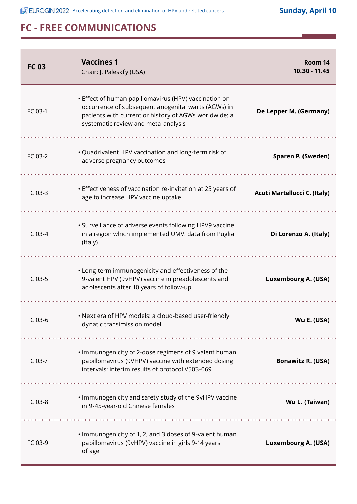**ACCOMET ACCELERT ACCELERATION** Accelerating detection and elimination of HPV and related cancers **Sunday, April 10** 

| <b>FC03</b> | <b>Vaccines 1</b><br>Chair: J. Paleskfy (USA)                                                                                                                                                                | Room 14<br>10.30 - 11.45     |
|-------------|--------------------------------------------------------------------------------------------------------------------------------------------------------------------------------------------------------------|------------------------------|
| FC 03-1     | • Effect of human papillomavirus (HPV) vaccination on<br>occurrence of subsequent anogenital warts (AGWs) in<br>patients with current or history of AGWs worldwide: a<br>systematic review and meta-analysis | De Lepper M. (Germany)       |
|             |                                                                                                                                                                                                              |                              |
| FC 03-2     | • Quadrivalent HPV vaccination and long-term risk of<br>adverse pregnancy outcomes                                                                                                                           | Sparen P. (Sweden)           |
|             |                                                                                                                                                                                                              |                              |
| FC 03-3     | • Effectiveness of vaccination re-invitation at 25 years of<br>age to increase HPV vaccine uptake                                                                                                            | Acuti Martellucci C. (Italy) |
| FC 03-4     | • Surveillance of adverse events following HPV9 vaccine<br>in a region which implemented UMV: data from Puglia<br>(Italy)                                                                                    | Di Lorenzo A. (Italy)        |
|             |                                                                                                                                                                                                              |                              |
| FC 03-5     | • Long-term immunogenicity and effectiveness of the<br>9-valent HPV (9vHPV) vaccine in preadolescents and<br>adolescents after 10 years of follow-up                                                         | Luxembourg A. (USA)          |
|             |                                                                                                                                                                                                              |                              |
| FC 03-6     | • Next era of HPV models: a cloud-based user-friendly<br>dynatic transimission model                                                                                                                         | Wu E. (USA)                  |
|             |                                                                                                                                                                                                              |                              |
| FC 03-7     | . Immunogenicity of 2-dose regimens of 9 valent human<br>papillomavirus (9VHPV) vaccine with extended dosing<br>intervals: interim results of protocol V503-069                                              | <b>Bonawitz R. (USA)</b>     |
|             |                                                                                                                                                                                                              |                              |
| FC 03-8     | . Immunogenicity and safety study of the 9vHPV vaccine<br>in 9-45-year-old Chinese females                                                                                                                   | Wu L. (Taiwan)               |
|             |                                                                                                                                                                                                              |                              |
| FC 03-9     | . Immunogenicity of 1, 2, and 3 doses of 9-valent human<br>papillomavirus (9vHPV) vaccine in girls 9-14 years<br>of age                                                                                      | Luxembourg A. (USA)          |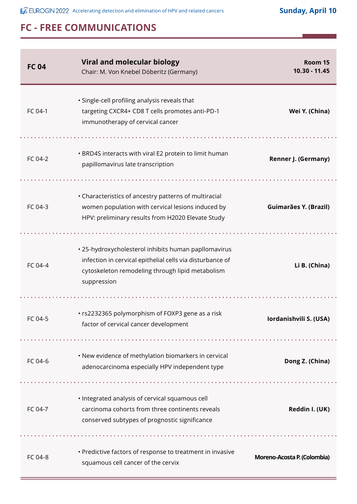| <b>FC04</b> | <b>Viral and molecular biology</b><br>Chair: M. Von Knebel Döberitz (Germany)                                                                                                        | Room 15<br>10.30 - 11.45    |
|-------------|--------------------------------------------------------------------------------------------------------------------------------------------------------------------------------------|-----------------------------|
| FC 04-1     | · Single-cell profiling analysis reveals that<br>targeting CXCR4+ CD8 T cells promotes anti-PD-1<br>immunotherapy of cervical cancer                                                 | Wei Y. (China)              |
| FC 04-2     | • BRD4S interacts with viral E2 protein to limit human<br>papillomavirus late transcription                                                                                          | Renner J. (Germany)         |
| FC 04-3     | • Characteristics of ancestry patterns of multiracial<br>women population with cervical lesions induced by<br>HPV: preliminary results from H2020 Elevate Study                      | Guimarães Y. (Brazil)       |
| FC 04-4     | • 25-hydroxycholesterol inhibits human papllomavirus<br>infection in cervical epithelial cells via disturbance of<br>cytoskeleton remodeling through lipid metabolism<br>suppression | Li B. (China)               |
|             |                                                                                                                                                                                      |                             |
| FC 04-5     | • rs2232365 polymorphism of FOXP3 gene as a risk<br>factor of cervical cancer development                                                                                            | Iordanishvili S. (USA)      |
|             |                                                                                                                                                                                      |                             |
| FC 04-6     | • New evidence of methylation biomarkers in cervical<br>adenocarcinoma especially HPV independent type                                                                               | Dong Z. (China)             |
| FC 04-7     | · Integrated analysis of cervical squamous cell<br>carcinoma cohorts from three continents reveals<br>conserved subtypes of prognostic significance                                  | Reddin I. (UK)              |
|             |                                                                                                                                                                                      |                             |
| FC 04-8     | • Predictive factors of response to treatment in invasive<br>squamous cell cancer of the cervix                                                                                      | Moreno-Acosta P. (Colombia) |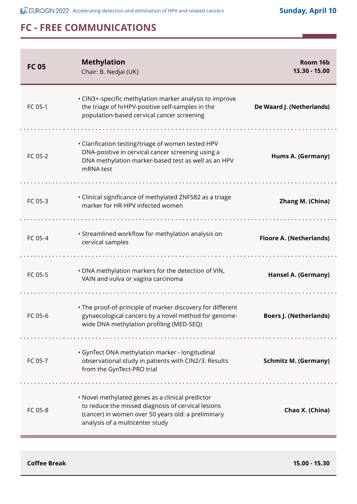**ACCOMERGIN 2022** Accelerating detection and elimination of HPV and related cancers **Sunday, April 10** 

# **FC - FREE COMMUNICATIONS**

| <b>FC 05</b> | <b>Methylation</b><br>Chair: B. Nedjai (UK)                                                                                                                                                     | Room 16b<br>13.30 - 15.00      |
|--------------|-------------------------------------------------------------------------------------------------------------------------------------------------------------------------------------------------|--------------------------------|
| FC 05-1      | • CIN3+-specific methylation marker analysis to improve<br>the triage of hrHPV-positive self-samples in the<br>population-based cervical cancer screening                                       | De Waard J. (Netherlands)      |
| FC 05-2      | • Clarification testing/triage of women tested HPV<br>DNA-positive in cervical cancer screening using a<br>DNA methylation marker-based test as well as an HPV<br>mRNA test                     | Hums A. (Germany)              |
| FC 05-3      | • Clinical significance of methylated ZNF582 as a triage<br>marker for HR-HPV infected women                                                                                                    | Zhang M. (China)               |
| FC 05-4      | • Streamlined workflow for methylation analysis on<br>cervical samples                                                                                                                          | <b>Floore A. (Netherlands)</b> |
| FC 05-5      | . DNA methylation markers for the detection of VIN,<br>VAIN and vulva or vagina carcinoma                                                                                                       | Hansel A. (Germany)            |
| FC 05-6      | • The proof-of-principle of marker discovery for different<br>gynaecological cancers by a novel method for genome-<br>wide DNA methylation profiling (MED-SEQ)                                  | <b>Boers J. (Netherlands)</b>  |
| FC 05-7      | · GynTect DNA methylation marker - longitudinal<br>observational study in patients with CIN2/3. Results<br>from the GynTect-PRO trial                                                           | <b>Schmitz M. (Germany)</b>    |
| FC 05-8      | • Novel methylated genes as a clinical predictor<br>to reduce the missed diagnosis of cervical lesions<br>(cancer) in women over 50 years old: a preliminary<br>analysis of a multicenter study | Chao X. (China)                |

**Coffee Break 15.00 - 15.30**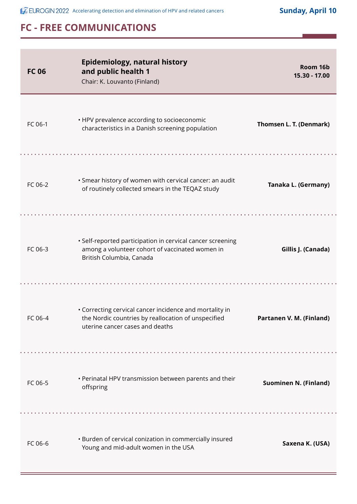**ACCOMET ACCELERT ACCELERATION** Accelerating detection and elimination of HPV and related cancers **Sunday, April 10** 

| <b>FC 06</b> | <b>Epidemiology, natural history</b><br>and public health 1<br>Chair: K. Louvanto (Finland)                                                       | Room 16b<br>15.30 - 17.00    |
|--------------|---------------------------------------------------------------------------------------------------------------------------------------------------|------------------------------|
| FC 06-1      | • HPV prevalence according to socioeconomic<br>characteristics in a Danish screening population                                                   | Thomsen L. T. (Denmark)      |
| FC 06-2      | • Smear history of women with cervical cancer: an audit<br>of routinely collected smears in the TEQAZ study                                       | Tanaka L. (Germany)          |
| FC 06-3      | · Self-reported participation in cervical cancer screening<br>among a volunteer cohort of vaccinated women in<br>British Columbia, Canada         | Gillis J. (Canada)           |
| FC 06-4      | • Correcting cervical cancer incidence and mortality in<br>the Nordic countries by reallocation of unspecified<br>uterine cancer cases and deaths | Partanen V. M. (Finland)     |
| FC 06-5      | • Perinatal HPV transmission between parents and their<br>offspring                                                                               | <b>Suominen N. (Finland)</b> |
| FC 06-6      | • Burden of cervical conization in commercially insured<br>Young and mid-adult women in the USA                                                   | Saxena K. (USA)              |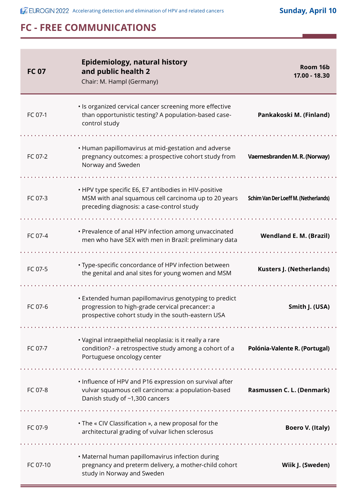| <b>FC 07</b> | Epidemiology, natural history<br>and public health 2<br>Chair: M. Hampl (Germany)                                                                             | Room 16b<br>17.00 - 18.30                   |
|--------------|---------------------------------------------------------------------------------------------------------------------------------------------------------------|---------------------------------------------|
| FC 07-1      | · Is organized cervical cancer screening more effective<br>than opportunistic testing? A population-based case-<br>control study                              | Pankakoski M. (Finland)                     |
| FC 07-2      | • Human papillomavirus at mid-gestation and adverse<br>pregnancy outcomes: a prospective cohort study from<br>Norway and Sweden                               | Vaernesbranden M. R. (Norway)               |
| FC 07-3      | • HPV type specific E6, E7 antibodies in HIV-positive<br>MSM with anal squamous cell carcinoma up to 20 years<br>preceding diagnosis: a case-control study    | <b>Schim Van Der Loeff M. (Netherlands)</b> |
| FC 07-4      | • Prevalence of anal HPV infection among unvaccinated<br>men who have SEX with men in Brazil: preliminary data                                                | <b>Wendland E. M. (Brazil)</b>              |
| FC 07-5      | • Type-specific concordance of HPV infection between<br>the genital and anal sites for young women and MSM                                                    | <b>Kusters J. (Netherlands)</b>             |
| $FC.07-6$    | • Extended human papillomavirus genotyping to predict<br>progression to high-grade cervical precancer: a<br>prospective cohort study in the south-eastern USA | Smith J. (USA)                              |
| FC 07-7      | • Vaginal intraepithelial neoplasia: is it really a rare<br>condition? - a retrospective study among a cohort of a<br>Portuguese oncology center              | Polónia-Valente R. (Portugal)               |
| FC 07-8      | • Influence of HPV and P16 expression on survival after<br>vulvar squamous cell carcinoma: a population-based<br>Danish study of ~1,300 cancers               | Rasmussen C. L. (Denmark)                   |
| FC 07-9      | • The « CIV Classification », a new proposal for the<br>architectural grading of vulvar lichen sclerosus                                                      | <b>Boero V. (Italy)</b>                     |
| FC 07-10     | • Maternal human papillomavirus infection during<br>pregnancy and preterm delivery, a mother-child cohort<br>study in Norway and Sweden                       | Wiik J. (Sweden)                            |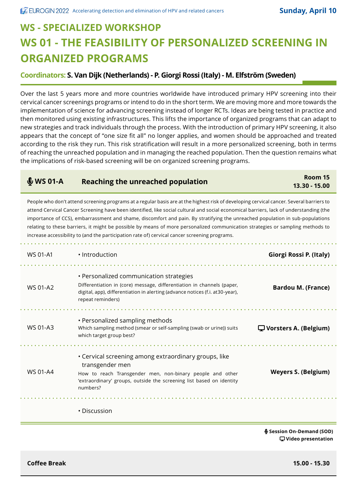# **WS - SPECIALIZED WORKSHOP WS 01 - THE FEASIBILITY OF PERSONALIZED SCREENING IN ORGANIZED PROGRAMS**

#### **Coordinators: S. Van Dijk (Netherlands) - P. Giorgi Rossi (Italy) - M. Elfström (Sweden)**

Over the last 5 years more and more countries worldwide have introduced primary HPV screening into their cervical cancer screenings programs or intend to do in the short term. We are moving more and more towards the implementation of science for advancing screening instead of longer RCTs. Ideas are being tested in practice and then monitored using existing infrastructures. This lifts the importance of organized programs that can adapt to new strategies and track individuals through the process. With the introduction of primary HPV screening, it also appears that the concept of "one size fit all" no longer applies, and women should be approached and treated according to the risk they run. This risk stratification will result in a more personalized screening, both in terms of reaching the unreached population and in managing the reached population. Then the question remains what the implications of risk-based screening will be on organized screening programs.

| $$WSO1-A$$      | <b>Reaching the unreached population</b>                                                                                                                                                                                                                                                                                                                                                                                                                                                                                                                                                                                                              | Room 15<br>13.30 - 15.00   |
|-----------------|-------------------------------------------------------------------------------------------------------------------------------------------------------------------------------------------------------------------------------------------------------------------------------------------------------------------------------------------------------------------------------------------------------------------------------------------------------------------------------------------------------------------------------------------------------------------------------------------------------------------------------------------------------|----------------------------|
|                 | People who don't attend screening programs at a regular basis are at the highest risk of developing cervical cancer. Several barriers to<br>attend Cervical Cancer Screening have been identified, like social cultural and social economical barriers, lack of understanding (the<br>importance of CCS), embarrassment and shame, discomfort and pain. By stratifying the unreached population in sub-populations<br>relating to these barriers, it might be possible by means of more personalized communication strategies or sampling methods to<br>increase accessibility to (and the participation rate of) cervical cancer screening programs. |                            |
| <b>WS 01-A1</b> | · Introduction                                                                                                                                                                                                                                                                                                                                                                                                                                                                                                                                                                                                                                        | Giorgi Rossi P. (Italy)    |
| WS 01-A2        | • Personalized communication strategies<br>Differentiation in (core) message, differentiation in channels (paper,<br>digital, app), differentiation in alerting (advance notices (f.i. at 30-year),<br>repeat reminders)                                                                                                                                                                                                                                                                                                                                                                                                                              | <b>Bardou M. (France)</b>  |
| WS 01-A3        | • Personalized sampling methods<br>Which sampling method (smear or self-sampling (swab or urine)) suits<br>which target group best?                                                                                                                                                                                                                                                                                                                                                                                                                                                                                                                   | Vorsters A. (Belgium)      |
| <b>WS 01-A4</b> | • Cervical screening among extraordinary groups, like<br>transgender men<br>How to reach Transgender men, non-binary people and other<br>'extraordinary' groups, outside the screening list based on identity<br>numbers?                                                                                                                                                                                                                                                                                                                                                                                                                             | <b>Weyers S. (Belgium)</b> |
|                 | • Discussion                                                                                                                                                                                                                                                                                                                                                                                                                                                                                                                                                                                                                                          |                            |
|                 |                                                                                                                                                                                                                                                                                                                                                                                                                                                                                                                                                                                                                                                       | € Session On-Demand (SOD)  |

 **Video presentation**

**Coffee Break 15.00 - 15.30**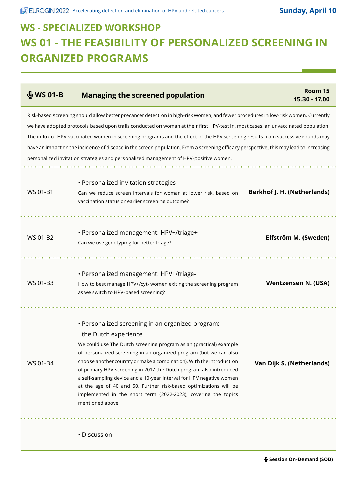$\mathcal{L}^{\text{max}}_{\text{max}}$ 

# **WS - SPECIALIZED WORKSHOP WS 01 - THE FEASIBILITY OF PERSONALIZED SCREENING IN ORGANIZED PROGRAMS**

| $$WSO1-B$ | <b>Managing the screened population</b>                                                                                                                                                                                                                                                                                                                                                                                                                                                                                                                                                                                                         | Room 15<br>15.30 - 17.00    |
|-----------|-------------------------------------------------------------------------------------------------------------------------------------------------------------------------------------------------------------------------------------------------------------------------------------------------------------------------------------------------------------------------------------------------------------------------------------------------------------------------------------------------------------------------------------------------------------------------------------------------------------------------------------------------|-----------------------------|
|           | Risk-based screening should allow better precancer detection in high-risk women, and fewer procedures in low-risk women. Currently<br>we have adopted protocols based upon trails conducted on woman at their first HPV-test in, most cases, an unvaccinated population.<br>The influx of HPV-vaccinated women in screening programs and the effect of the HPV screening results from successive rounds may<br>have an impact on the incidence of disease in the screen population. From a screening efficacy perspective, this may lead to increasing<br>personalized invitation strategies and personalized management of HPV-positive women. |                             |
| WS 01-B1  | • Personalized invitation strategies<br>Can we reduce screen intervals for woman at lower risk, based on<br>vaccination status or earlier screening outcome?                                                                                                                                                                                                                                                                                                                                                                                                                                                                                    | Berkhof J. H. (Netherlands) |
| WS 01-B2  | • Personalized management: HPV+/triage+<br>Can we use genotyping for better triage?                                                                                                                                                                                                                                                                                                                                                                                                                                                                                                                                                             | Elfström M. (Sweden)        |
| WS 01-B3  | · Personalized management: HPV+/triage-<br>How to best manage HPV+/cyt- women exiting the screening program<br>as we switch to HPV-based screening?                                                                                                                                                                                                                                                                                                                                                                                                                                                                                             | <b>Wentzensen N. (USA)</b>  |
| WS 01-B4  | • Personalized screening in an organized program:<br>the Dutch experience<br>We could use The Dutch screening program as an (practical) example<br>of personalized screening in an organized program (but we can also<br>choose another country or make a combination). With the introduction<br>of primary HPV-screening in 2017 the Dutch program also introduced<br>a self-sampling device and a 10-year interval for HPV negative women<br>at the age of 40 and 50. Further risk-based optimizations will be<br>implemented in the short term (2022-2023), covering the topics<br>mentioned above.                                          | Van Dijk S. (Netherlands)   |
|           | • Discussion                                                                                                                                                                                                                                                                                                                                                                                                                                                                                                                                                                                                                                    |                             |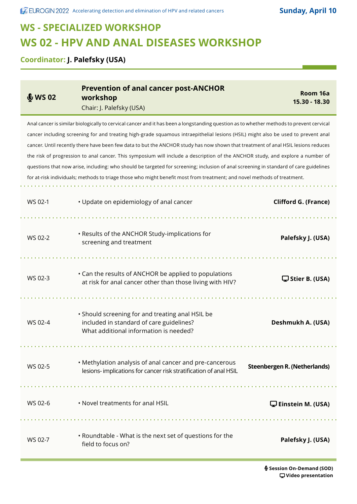# **WS - SPECIALIZED WORKSHOP WS 02 - HPV AND ANAL DISEASES WORKSHOP**

**Coordinator: J. Palefsky (USA)**

| \$WS02  | <b>Prevention of anal cancer post-ANCHOR</b><br>workshop<br>Chair: J. Palefsky (USA)                                                                                                                                                                                                                                                                                                                                                                                                                                                                                                                                                                                                                                                                                                                                     | Room 16a<br>15.30 - 18.30           |
|---------|--------------------------------------------------------------------------------------------------------------------------------------------------------------------------------------------------------------------------------------------------------------------------------------------------------------------------------------------------------------------------------------------------------------------------------------------------------------------------------------------------------------------------------------------------------------------------------------------------------------------------------------------------------------------------------------------------------------------------------------------------------------------------------------------------------------------------|-------------------------------------|
|         | Anal cancer is similar biologically to cervical cancer and it has been a longstanding question as to whether methods to prevent cervical<br>cancer including screening for and treating high-grade squamous intraepithelial lesions (HSIL) might also be used to prevent anal<br>cancer. Until recently there have been few data to but the ANCHOR study has now shown that treatment of anal HSIL lesions reduces<br>the risk of progression to anal cancer. This symposium will include a description of the ANCHOR study, and explore a number of<br>questions that now arise, including: who should be targeted for screening; inclusion of anal screening in standard of care guidelines<br>for at-risk individuals; methods to triage those who might benefit most from treatment; and novel methods of treatment. |                                     |
| WS 02-1 | • Update on epidemiology of anal cancer                                                                                                                                                                                                                                                                                                                                                                                                                                                                                                                                                                                                                                                                                                                                                                                  | <b>Clifford G. (France)</b>         |
| WS 02-2 | • Results of the ANCHOR Study-implications for<br>screening and treatment                                                                                                                                                                                                                                                                                                                                                                                                                                                                                                                                                                                                                                                                                                                                                | Palefsky J. (USA)                   |
| WS 02-3 | • Can the results of ANCHOR be applied to populations<br>at risk for anal cancer other than those living with HIV?                                                                                                                                                                                                                                                                                                                                                                                                                                                                                                                                                                                                                                                                                                       | Stier B. (USA)                      |
| WS 02-4 | • Should screening for and treating anal HSIL be<br>included in standard of care guidelines?<br>What additional information is needed?                                                                                                                                                                                                                                                                                                                                                                                                                                                                                                                                                                                                                                                                                   | Deshmukh A. (USA)                   |
| WS 02-5 | • Methylation analysis of anal cancer and pre-cancerous<br>lesions-implications for cancer risk stratification of anal HSIL                                                                                                                                                                                                                                                                                                                                                                                                                                                                                                                                                                                                                                                                                              | <b>Steenbergen R. (Netherlands)</b> |
| WS 02-6 | . Novel treatments for anal HSIL                                                                                                                                                                                                                                                                                                                                                                                                                                                                                                                                                                                                                                                                                                                                                                                         | $\Box$ Einstein M. (USA)            |
| WS 02-7 | • Roundtable - What is the next set of questions for the<br>field to focus on?                                                                                                                                                                                                                                                                                                                                                                                                                                                                                                                                                                                                                                                                                                                                           | Palefsky J. (USA)                   |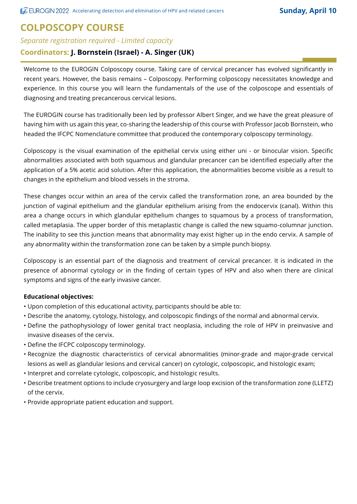#### **COLPOSCOPY COURSE**

#### *Separate registration required - Limited capacity*

#### **Coordinators: J. Bornstein (Israel) - A. Singer (UK)**

Welcome to the EUROGIN Colposcopy course. Taking care of cervical precancer has evolved significantly in recent years. However, the basis remains – Colposcopy. Performing colposcopy necessitates knowledge and experience. In this course you will learn the fundamentals of the use of the colposcope and essentials of diagnosing and treating precancerous cervical lesions.

The EUROGIN course has traditionally been led by professor Albert Singer, and we have the great pleasure of having him with us again this year, co-sharing the leadership of this course with Professor Jacob Bornstein, who headed the IFCPC Nomenclature committee that produced the contemporary colposcopy terminology.

Colposcopy is the visual examination of the epithelial cervix using either uni - or binocular vision. Specific abnormalities associated with both squamous and glandular precancer can be identified especially after the application of a 5% acetic acid solution. After this application, the abnormalities become visible as a result to changes in the epithelium and blood vessels in the stroma.

These changes occur within an area of the cervix called the transformation zone, an area bounded by the junction of vaginal epithelium and the glandular epithelium arising from the endocervix (canal). Within this area a change occurs in which glandular epithelium changes to squamous by a process of transformation, called metaplasia. The upper border of this metaplastic change is called the new squamo-columnar junction. The inability to see this junction means that abnormality may exist higher up in the endo cervix. A sample of any abnormality within the transformation zone can be taken by a simple punch biopsy.

Colposcopy is an essential part of the diagnosis and treatment of cervical precancer. It is indicated in the presence of abnormal cytology or in the finding of certain types of HPV and also when there are clinical symptoms and signs of the early invasive cancer.

#### **Educational objectives:**

- Upon completion of this educational activity, participants should be able to:
- Describe the anatomy, cytology, histology, and colposcopic findings of the normal and abnormal cervix.
- Define the pathophysiology of lower genital tract neoplasia, including the role of HPV in preinvasive and invasive diseases of the cervix.
- Define the IFCPC colposcopy terminology.
- Recognize the diagnostic characteristics of cervical abnormalities (minor-grade and major-grade cervical lesions as well as glandular lesions and cervical cancer) on cytologic, colposcopic, and histologic exam;
- Interpret and correlate cytologic, colposcopic, and histologic results.
- Describe treatment options to include cryosurgery and large loop excision of the transformation zone (LLETZ) of the cervix.
- Provide appropriate patient education and support.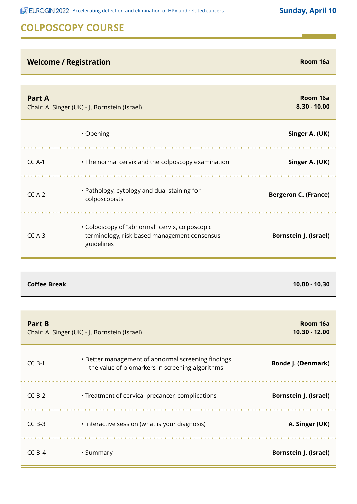**ACCOMET ACCELERT ACCELERATION** Accelerating detection and elimination of HPV and related cancers **Sunday, April 10** 

## **COLPOSCOPY COURSE**

#### *Welcome / Registration* **Registration Room 16a**

| <b>Part A</b> | Chair: A. Singer (UK) - J. Bornstein (Israel)                                                                | Room 16a<br>$8.30 - 10.00$   |
|---------------|--------------------------------------------------------------------------------------------------------------|------------------------------|
|               | • Opening                                                                                                    | Singer A. (UK)               |
| $CC A-1$      | • The normal cervix and the colposcopy examination                                                           | Singer A. (UK)               |
| $CC A-2$      | • Pathology, cytology and dual staining for<br>colposcopists                                                 | <b>Bergeron C. (France)</b>  |
| $CC A-3$      | • Colposcopy of "abnormal" cervix, colposcopic<br>terminology, risk-based management consensus<br>guidelines | <b>Bornstein J. (Israel)</b> |

#### **Coffee Break 10.00 - 10.30**

| <b>Part B</b> | Chair: A. Singer (UK) - J. Bornstein (Israel)                                                           | Room 16a<br>10.30 - 12.00    |
|---------------|---------------------------------------------------------------------------------------------------------|------------------------------|
| $CCB-1$       | • Better management of abnormal screening findings<br>- the value of biomarkers in screening algorithms | <b>Bonde J. (Denmark)</b>    |
| $CCB-2$       | • Treatment of cervical precancer, complications                                                        | <b>Bornstein J. (Israel)</b> |
| $CCB-3$       | • Interactive session (what is your diagnosis)                                                          | A. Singer (UK)               |
| $CCB-4$       | • Summary                                                                                               | <b>Bornstein J. (Israel)</b> |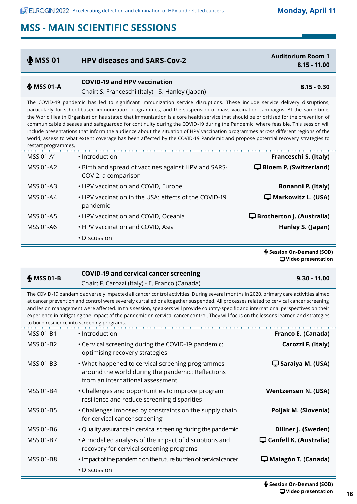| \$MSSO1                                 | <b>HPV diseases and SARS-Cov-2</b>                                                                                                                                                                                                                                                                                                                                                                                                                                                                                                                                                                                                                                                                                                                                                                                         | <b>Auditorium Room 1</b><br>$8.15 - 11.00$ |
|-----------------------------------------|----------------------------------------------------------------------------------------------------------------------------------------------------------------------------------------------------------------------------------------------------------------------------------------------------------------------------------------------------------------------------------------------------------------------------------------------------------------------------------------------------------------------------------------------------------------------------------------------------------------------------------------------------------------------------------------------------------------------------------------------------------------------------------------------------------------------------|--------------------------------------------|
| $$MSS$ 01-A                             | <b>COVID-19 and HPV vaccination</b><br>Chair: S. Franceschi (Italy) - S. Hanley (Japan)                                                                                                                                                                                                                                                                                                                                                                                                                                                                                                                                                                                                                                                                                                                                    | $8.15 - 9.30$                              |
| restart programmes.<br><b>MSS 01-A1</b> | The COVID-19 pandemic has led to significant immunization service disruptions. These include service delivery disruptions,<br>particularly for school-based immunization programmes, and the suspension of mass vaccination campaigns. At the same time,<br>the World Health Organisation has stated that immunization is a core health service that should be prioritised for the prevention of<br>communicable diseases and safeguarded for continuity during the COVID-19 during the Pandemic, where feasible. This session will<br>include presentations that inform the audience about the situation of HPV vaccination programmes across different regions of the<br>world, assess to what extent coverage has been affected by the COVID-19 Pandemic and propose potential recovery strategies to<br>• Introduction | Franceschi S. (Italy)                      |
| <b>MSS 01-A2</b>                        | • Birth and spread of vaccines against HPV and SARS-<br>COV-2: a comparison                                                                                                                                                                                                                                                                                                                                                                                                                                                                                                                                                                                                                                                                                                                                                | <b>D</b> Bloem P. (Switzerland)            |
| <b>MSS 01-A3</b>                        | • HPV vaccination and COVID, Europe                                                                                                                                                                                                                                                                                                                                                                                                                                                                                                                                                                                                                                                                                                                                                                                        | Bonanni P. (Italy)                         |
| <b>MSS 01-A4</b>                        | . HPV vaccination in the USA: effects of the COVID-19<br>pandemic                                                                                                                                                                                                                                                                                                                                                                                                                                                                                                                                                                                                                                                                                                                                                          | $\Box$ Markowitz L. (USA)                  |
| <b>MSS 01-A5</b>                        | • HPV vaccination and COVID, Oceania                                                                                                                                                                                                                                                                                                                                                                                                                                                                                                                                                                                                                                                                                                                                                                                       | $\Box$ Brotherton J. (Australia)           |
| <b>MSS 01-A6</b>                        | • HPV vaccination and COVID, Asia                                                                                                                                                                                                                                                                                                                                                                                                                                                                                                                                                                                                                                                                                                                                                                                          | Hanley S. (Japan)                          |
|                                         | • Discussion                                                                                                                                                                                                                                                                                                                                                                                                                                                                                                                                                                                                                                                                                                                                                                                                               |                                            |

 **Session On-Demand (SOD) Video presentation**

| $$$ MSS 01-B | <b>COVID-19 and cervical cancer screening</b>                                                                                                                                                                                  | $9.30 - 11.00$ |
|--------------|--------------------------------------------------------------------------------------------------------------------------------------------------------------------------------------------------------------------------------|----------------|
|              | Chair: F. Carozzi (Italy) - E. Franco (Canada)                                                                                                                                                                                 |                |
|              | The COVID-19 pandemic adversely impacted all cancer control activities. During several months in 2020, primary care activities aimed                                                                                           |                |
|              | at and an interesting and and under the second best and and the address measurement of the second and the and the second and the second second the second second the second second second second second second second second s |                |

at cancer prevention and control were severely curtailed or altogether suspended. All processes related to cervical cancer screening and lesion management were affected. In this session, speakers will provide country-specific and international perspectives on their experience in mitigating the impact of the pandemic on cervical cancer control. They will focus on the lessons learned and strategies to build resilience into screening programs.

| <b>MSS 01-B1</b> | • Introduction                                                                                                                            | Franco E. (Canada)                              |
|------------------|-------------------------------------------------------------------------------------------------------------------------------------------|-------------------------------------------------|
| MSS 01-B2        | . Cervical screening during the COVID-19 pandemic:<br>optimising recovery strategies                                                      | Carozzi F. (Italy)                              |
| MSS 01-B3        | . What happened to cervical screening programmes<br>around the world during the pandemic: Reflections<br>from an international assessment | $\Box$ Saraiya M. (USA)                         |
| MSS 01-B4        | • Challenges and opportunities to improve program<br>resilience and reduce screening disparities                                          | <b>Wentzensen N. (USA)</b>                      |
| <b>MSS 01-B5</b> | • Challenges imposed by constraints on the supply chain<br>for cervical cancer screening                                                  | Poljak M. (Slovenia)                            |
| MSS 01-B6        | • Quality assurance in cervical screening during the pandemic                                                                             | Dillner J. (Sweden)                             |
| MSS 01-B7        | • A modelled analysis of the impact of disruptions and<br>recovery for cervical screening programs                                        | $\mathbf{\mathbf{\Box}}$ Canfell K. (Australia) |
| MSS 01-B8        | • Impact of the pandemic on the future burden of cervical cancer                                                                          | $\Box$ Malagón T. (Canada)                      |
|                  | $\cdot$ Discussion                                                                                                                        |                                                 |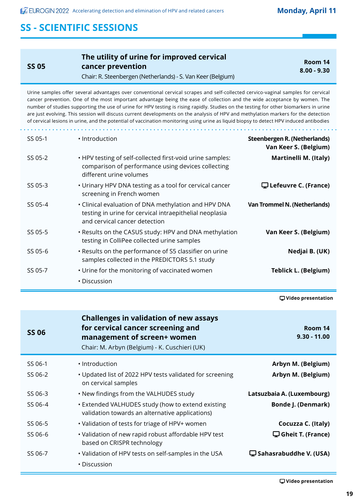Ė

| <b>SS 05</b> | The utility of urine for improved cervical<br>cancer prevention<br>Chair: R. Steenbergen (Netherlands) - S. Van Keer (Belgium) | Room 14<br>$8.00 - 9.30$ |
|--------------|--------------------------------------------------------------------------------------------------------------------------------|--------------------------|
|--------------|--------------------------------------------------------------------------------------------------------------------------------|--------------------------|

Urine samples offer several advantages over conventional cervical scrapes and self-collected cervico-vaginal samples for cervical cancer prevention. One of the most important advantage being the ease of collection and the wide acceptance by women. The number of studies supporting the use of urine for HPV testing is rising rapidly. Studies on the testing for other biomarkers in urine are just evolving. This session will discuss current developments on the analysis of HPV and methylation markers for the detection of cervical lesions in urine, and the potential of vaccination monitoring using urine as liquid biopsy to detect HPV induced antibodies

| SS 05-1 | · Introduction                                                                                                                                   | Steenbergen R. (Netherlands)<br>Van Keer S. (Belgium) |
|---------|--------------------------------------------------------------------------------------------------------------------------------------------------|-------------------------------------------------------|
| SS 05-2 | . HPV testing of self-collected first-void urine samples:<br>comparison of performance using devices collecting<br>different urine volumes       | Martinelli M. (Italy)                                 |
| SS 05-3 | • Urinary HPV DNA testing as a tool for cervical cancer<br>screening in French women                                                             | $\mathbf \Box$ Lefeuvre C. (France)                   |
| SS 05-4 | • Clinical evaluation of DNA methylation and HPV DNA<br>testing in urine for cervical intraepithelial neoplasia<br>and cervical cancer detection | <b>Van Trommel N. (Netherlands)</b>                   |
| SS 05-5 | . Results on the CASUS study: HPV and DNA methylation<br>testing in ColliPee collected urine samples                                             | Van Keer S. (Belgium)                                 |
| SS 05-6 | . Results on the performance of S5 classifier on urine<br>samples collected in the PREDICTORS 5.1 study                                          | Nedjai B. (UK)                                        |
| SS 05-7 | • Urine for the monitoring of vaccinated women<br>• Discussion                                                                                   | <b>Teblick L. (Belgium)</b>                           |

 **Video presentation**

| <b>SS 06</b> | <b>Challenges in validation of new assays</b><br>for cervical cancer screening and<br>management of screen+ women<br>Chair: M. Arbyn (Belgium) - K. Cuschieri (UK) | Room 14<br>$9.30 - 11.00$                  |
|--------------|--------------------------------------------------------------------------------------------------------------------------------------------------------------------|--------------------------------------------|
| SS 06-1      | • Introduction                                                                                                                                                     | Arbyn M. (Belgium)                         |
| SS 06-2      | • Updated list of 2022 HPV tests validated for screening<br>on cervical samples                                                                                    | Arbyn M. (Belgium)                         |
| SS 06-3      | • New findings from the VALHUDES study                                                                                                                             | Latsuzbaia A. (Luxembourg)                 |
| SS 06-4      | • Extended VALHUDES study (how to extend existing<br>validation towards an alternative applications)                                                               | <b>Bonde J. (Denmark)</b>                  |
| SS 06-5      | • Validation of tests for triage of HPV+ women                                                                                                                     | Cocuzza C. (Italy)                         |
| SS 06-6      | • Validation of new rapid robust affordable HPV test<br>based on CRISPR technology                                                                                 | $\mathbf{\mathbf{\Box}}$ Gheit T. (France) |
| SS 06-7      | • Validation of HPV tests on self-samples in the USA                                                                                                               | $\Box$ Sahasrabuddhe V. (USA)              |
|              | • Discussion                                                                                                                                                       |                                            |
|              |                                                                                                                                                                    |                                            |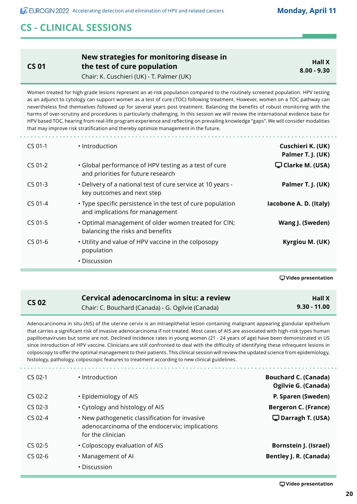## **CS - CLINICAL SESSIONS**

**CS 01**

#### **New strategies for monitoring disease in the test of cure population** Chair: K. Cuschieri (UK) - T. Palmer (UK)

**Hall X 8.00 - 9.30**

Women treated for high grade lesions represent an at-risk population compared to the routinely screened population. HPV testing as an adjunct to cytology can support women as a test of cure (TOC) following treatment. However, women on a TOC pathway can nevertheless find themselves followed up for several years post treatment. Balancing the benefits of robust monitoring with the harms of over-scrutiny and procedures is particularly challenging. In this session we will review the international evidence base for HPV based TOC, hearing from real-life program experience and reflecting on prevailing knowledge "gaps". We will consider modalities that may improve risk stratification and thereby optimize management in the future.

| $CS$ 01-1 | • Introduction                                                                                | Cuschieri K. (UK)<br>Palmer T. J. (UK) |
|-----------|-----------------------------------------------------------------------------------------------|----------------------------------------|
| $CS$ 01-2 | • Global performance of HPV testing as a test of cure<br>and priorities for future research   | $\Box$ Clarke M. (USA)                 |
| $CS$ 01-3 | . Delivery of a national test of cure service at 10 years -<br>key outcomes and next step     | Palmer T. J. (UK)                      |
| $CS$ 01-4 | • Type specific persistence in the test of cure population<br>and implications for management | lacobone A. D. (Italy)                 |
| $CS$ 01-5 | . Optimal management of older women treated for CIN;<br>balancing the risks and benefits      | Wang J. (Sweden)                       |
| $CS$ 01-6 | • Utility and value of HPV vaccine in the colposopy<br>population                             | Kyrgiou M. (UK)                        |
|           | • Discussion                                                                                  |                                        |

 **Video presentation**

| C. | S 02 |
|----|------|
|    |      |

#### **CS 02 Cervical adenocarcinoma in situ: a review** Chair: C. Bouchard (Canada) - G. Ogilvie (Canada)

**Hall X 9.30 - 11.00**

Adenocarcinoma in situ (AIS) of the uterine cervix is an intraepithelial lesion containing malignant appearing glandular epithelium that carries a significant risk of invasive adenocarcinoma if not treated. Most cases of AIS are associated with high-risk types human papillomaviruses but some are not. Declined incidence rates in young women (21 - 24 years of age) have been demonstrated in US since introduction of HPV vaccine. Clinicians are still confronted to deal with the difficulty of identifying these infrequent lesions in colposcopy to offer the optimal management to their patients. This clinical session will review the updated science from epidemiology, histology, pathology, colposcopic features to treatment according to new clinical guidelines.

| $CS$ 02-1 | • Introduction                                                                                                        | <b>Bouchard C. (Canada)</b><br>Ogilvie G. (Canada) |
|-----------|-----------------------------------------------------------------------------------------------------------------------|----------------------------------------------------|
| $CS$ 02-2 | • Epidemiology of AIS                                                                                                 | P. Sparen (Sweden)                                 |
| $CS$ 02-3 | • Cytology and histology of AIS                                                                                       | <b>Bergeron C. (France)</b>                        |
| $CS$ 02-4 | • New pathogenetic classification for invasive<br>adenocarcinoma of the endocervix; implications<br>for the clinician | $\Box$ Darragh T. (USA)                            |
| $CS$ 02-5 | • Colposcopy evaluation of AIS                                                                                        | <b>Bornstein J. (Israel)</b>                       |
| $CS$ 02-6 | • Management of Al                                                                                                    | <b>Bentley J. R. (Canada)</b>                      |
|           | • Discussion                                                                                                          |                                                    |
|           |                                                                                                                       |                                                    |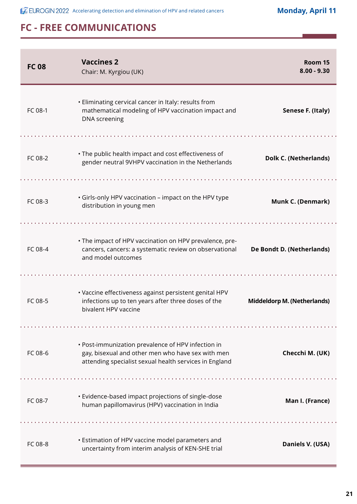**ACCEUROGIN 2022** Accelerating detection and elimination of HPV and related cancers

**Monday, April 11**

| <b>FC08</b> | <b>Vaccines 2</b><br>Chair: M. Kyrgiou (UK)                                                                                                                       | Room 15<br>$8.00 - 9.30$     |
|-------------|-------------------------------------------------------------------------------------------------------------------------------------------------------------------|------------------------------|
| FC 08-1     | • Eliminating cervical cancer in Italy: results from<br>mathematical modeling of HPV vaccination impact and<br>DNA screening                                      | Senese F. (Italy)            |
| FC 08-2     | • The public health impact and cost effectiveness of<br>gender neutral 9VHPV vaccination in the Netherlands                                                       | <b>Dolk C. (Netherlands)</b> |
| FC 08-3     | • Girls-only HPV vaccination - impact on the HPV type<br>distribution in young men                                                                                | Munk C. (Denmark)            |
|             |                                                                                                                                                                   |                              |
| FC 08-4     | • The impact of HPV vaccination on HPV prevalence, pre-<br>cancers, cancers: a systematic review on observational<br>and model outcomes                           | De Bondt D. (Netherlands)    |
|             |                                                                                                                                                                   |                              |
| FC 08-5     | · Vaccine effectiveness against persistent genital HPV<br>infections up to ten years after three doses of the<br>bivalent HPV vaccine                             | Middeldorp M. (Netherlands)  |
|             |                                                                                                                                                                   |                              |
| FC 08-6     | • Post-immunization prevalence of HPV infection in<br>gay, bisexual and other men who have sex with men<br>attending specialist sexual health services in England | Checchi M. (UK)              |
|             |                                                                                                                                                                   |                              |
| FC 08-7     | • Evidence-based impact projections of single-dose<br>human papillomavirus (HPV) vaccination in India                                                             | Man I. (France)              |
|             |                                                                                                                                                                   |                              |
| FC 08-8     | • Estimation of HPV vaccine model parameters and<br>uncertainty from interim analysis of KEN-SHE trial                                                            | Daniels V. (USA)             |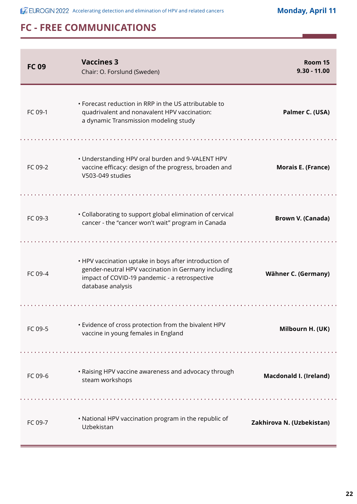**ACCEUROGIN 2022** Accelerating detection and elimination of HPV and related cancers

**Monday, April 11**

| <b>FC 09</b> | <b>Vaccines 3</b><br>Chair: O. Forslund (Sweden)                                                                                                                                    | Room 15<br>$9.30 - 11.00$     |
|--------------|-------------------------------------------------------------------------------------------------------------------------------------------------------------------------------------|-------------------------------|
| FC 09-1      | • Forecast reduction in RRP in the US attributable to<br>quadrivalent and nonavalent HPV vaccination:<br>a dynamic Transmission modeling study                                      | Palmer C. (USA)               |
| FC 09-2      | • Understanding HPV oral burden and 9-VALENT HPV<br>vaccine efficacy: design of the progress, broaden and<br>V503-049 studies                                                       | <b>Morais E. (France)</b>     |
| FC 09-3      | • Collaborating to support global elimination of cervical<br>cancer - the "cancer won't wait" program in Canada                                                                     | <b>Brown V. (Canada)</b>      |
| FC 09-4      | • HPV vaccination uptake in boys after introduction of<br>gender-neutral HPV vaccination in Germany including<br>impact of COVID-19 pandemic - a retrospective<br>database analysis | Wähner C. (Germany)           |
| FC 09-5      | · Evidence of cross protection from the bivalent HPV<br>vaccine in young females in England                                                                                         | Milbourn H. (UK)              |
| FC 09-6      | • Raising HPV vaccine awareness and advocacy through<br>steam workshops                                                                                                             | <b>Macdonald I. (Ireland)</b> |
| FC 09-7      | . National HPV vaccination program in the republic of<br>Uzbekistan                                                                                                                 | Zakhirova N. (Uzbekistan)     |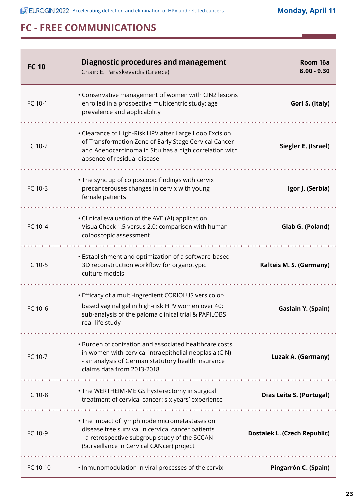**Monday, April 11**

| <b>FC 10</b> | <b>Diagnostic procedures and management</b><br>Chair: E. Paraskevaidis (Greece)                                                                                                                          | Room 16a<br>$8.00 - 9.30$           |
|--------------|----------------------------------------------------------------------------------------------------------------------------------------------------------------------------------------------------------|-------------------------------------|
| FC 10-1      | • Conservative management of women with CIN2 lesions<br>enrolled in a prospective multicentric study: age<br>prevalence and applicability                                                                | Gori S. (Italy)                     |
| FC 10-2      | • Clearance of High-Risk HPV after Large Loop Excision<br>of Transformation Zone of Early Stage Cervical Cancer<br>and Adenocarcinoma in Situ has a high correlation with<br>absence of residual disease | Siegler E. (Israel)                 |
| FC 10-3      | . The sync up of colposcopic findings with cervix<br>precancerouses changes in cervix with young<br>female patients                                                                                      | Igor J. (Serbia)                    |
| FC 10-4      | • Clinical evaluation of the AVE (AI) application<br>VisualCheck 1.5 versus 2.0: comparison with human<br>colposcopic assessment                                                                         | Glab G. (Poland)                    |
| FC 10-5      | • Establishment and optimization of a software-based<br>3D reconstruction workflow for organotypic<br>culture models                                                                                     | Kalteis M. S. (Germany)             |
| FC 10-6      | • Efficacy of a multi-ingredient CORIOLUS versicolor-<br>based vaginal gel in high-risk HPV women over 40:<br>sub-analysis of the paloma clinical trial & PAPILOBS<br>real-life study                    | Gaslain Y. (Spain)                  |
| FC 10-7      | • Burden of conization and associated healthcare costs<br>in women with cervical intraepithelial neoplasia (CIN)<br>- an analysis of German statutory health insurance<br>claims data from 2013-2018     | Luzak A. (Germany)                  |
| FC 10-8      | • The WERTHEIM-MEIGS hysterectomy in surgical<br>treatment of cervical cancer: six years' experience                                                                                                     | <b>Dias Leite S. (Portugal)</b>     |
| FC 10-9      | • The impact of lymph node micrometastases on<br>disease free survival in cervical cancer patients<br>- a retrospective subgroup study of the SCCAN<br>(Surveillance in Cervical CANcer) project         | <b>Dostalek L. (Czech Republic)</b> |
| FC 10-10     | . Inmunomodulation in viral processes of the cervix                                                                                                                                                      | Pingarrón C. (Spain)                |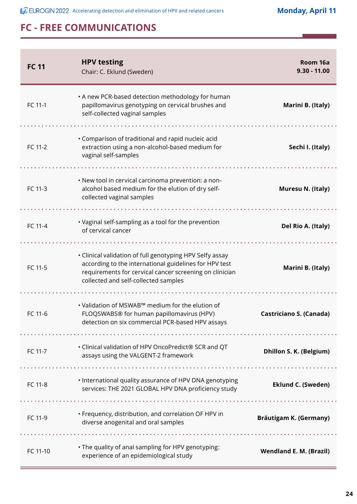**ACCEUROGIN 2022** Accelerating detection and elimination of HPV and related cancers

**Monday, April 11**

| <b>FC 11</b> | <b>HPV testing</b><br>Chair: C. Eklund (Sweden)                                                                                                                                                                       | Room 16a<br>$9.30 - 11.00$     |
|--------------|-----------------------------------------------------------------------------------------------------------------------------------------------------------------------------------------------------------------------|--------------------------------|
| FC 11-1      | • A new PCR-based detection methodology for human<br>papillomavirus genotyping on cervical brushes and<br>self-collected vaginal samples                                                                              | Marini B. (Italy)              |
| FC 11-2      | • Comparison of traditional and rapid nucleic acid<br>extraction using a non-alcohol-based medium for<br>vaginal self-samples                                                                                         | Sechi I. (Italy)               |
| FC 11-3      | • New tool in cervical carcinoma prevention: a non-<br>alcohol based medium for the elution of dry self-<br>collected vaginal samples                                                                                 | Muresu N. (Italy)              |
| FC 11-4      | • Vaginal self-sampling as a tool for the prevention<br>of cervical cancer                                                                                                                                            | Del Rio A. (Italy)             |
| FC 11-5      | • Clinical validation of full genotyping HPV Selfy assay<br>according to the international guidelines for HPV test<br>requirements for cervical cancer screening on clinician<br>collected and self-collected samples | Marini B. (Italy)              |
| FC 11-6      | . Validation of MSWAB™ medium for the elution of<br>FLOQSWABS® for human papillomavirus (HPV)<br>detection on six commercial PCR-based HPV assays                                                                     | <b>Castriciano S. (Canada)</b> |
| FC 11-7      | • Clinical validation of HPV OncoPredict® SCR and QT<br>assays using the VALGENT-2 framework                                                                                                                          | Dhillon S. K. (Belgium)        |
| FC 11-8      | • International quality assurance of HPV DNA genotyping<br>services: THE 2021 GLOBAL HPV DNA proficiency study                                                                                                        | <b>Eklund C. (Sweden)</b>      |
| FC 11-9      | • Frequency, distribution, and correlation OF HPV in<br>diverse anogenital and oral samples                                                                                                                           | Bräutigam K. (Germany)         |
| FC 11-10     | . The quality of anal sampling for HPV genotyping:<br>experience of an epidemiological study                                                                                                                          | <b>Wendland E. M. (Brazil)</b> |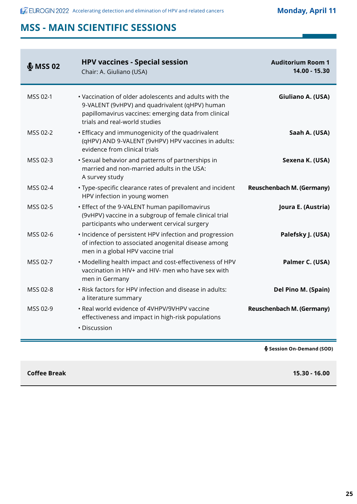| \$MSSO2  | <b>HPV vaccines - Special session</b><br>Chair: A. Giuliano (USA)                                                                                                                                 | <b>Auditorium Room 1</b><br>14.00 - 15.30 |
|----------|---------------------------------------------------------------------------------------------------------------------------------------------------------------------------------------------------|-------------------------------------------|
| MSS 02-1 | • Vaccination of older adolescents and adults with the<br>9-VALENT (9vHPV) and quadrivalent (qHPV) human<br>papillomavirus vaccines: emerging data from clinical<br>trials and real-world studies | Giuliano A. (USA)                         |
| MSS 02-2 | • Efficacy and immunogenicity of the quadrivalent<br>(qHPV) AND 9-VALENT (9vHPV) HPV vaccines in adults:<br>evidence from clinical trials                                                         | Saah A. (USA)                             |
| MSS 02-3 | • Sexual behavior and patterns of partnerships in<br>married and non-married adults in the USA:<br>A survey study                                                                                 | Sexena K. (USA)                           |
| MSS 02-4 | • Type-specific clearance rates of prevalent and incident<br>HPV infection in young women                                                                                                         | <b>Reuschenbach M. (Germany)</b>          |
| MSS 02-5 | • Effect of the 9-VALENT human papillomavirus<br>(9vHPV) vaccine in a subgroup of female clinical trial<br>participants who underwent cervical surgery                                            | Joura E. (Austria)                        |
| MSS 02-6 | • Incidence of persistent HPV infection and progression<br>of infection to associated anogenital disease among<br>men in a global HPV vaccine trial                                               | Palefsky J. (USA)                         |
| MSS 02-7 | . Modelling health impact and cost-effectiveness of HPV<br>vaccination in HIV+ and HIV- men who have sex with<br>men in Germany                                                                   | Palmer C. (USA)                           |
| MSS 02-8 | • Risk factors for HPV infection and disease in adults:<br>a literature summary                                                                                                                   | Del Pino M. (Spain)                       |
| MSS 02-9 | · Real world evidence of 4VHPV/9VHPV vaccine<br>effectiveness and impact in high-risk populations                                                                                                 | <b>Reuschenbach M. (Germany)</b>          |
|          | • Discussion                                                                                                                                                                                      |                                           |
|          |                                                                                                                                                                                                   | § Session On-Demand (SOD)                 |

**Coffee Break 15.30 - 16.00**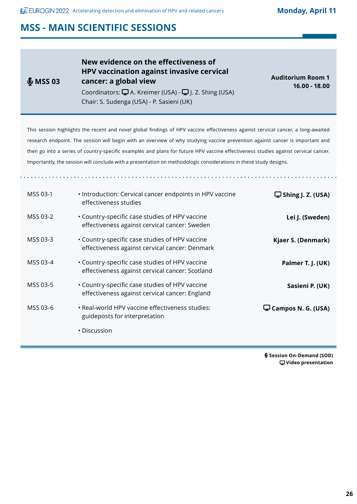**ACCEUROGIN 2022** Accelerating detection and elimination of HPV and related cancers

**Monday, April 11**

## **MSS - MAIN SCIENTIFIC SESSIONS**

| \$MSSO3  | New evidence on the effectiveness of<br><b>HPV vaccination against invasive cervical</b><br>cancer: a global view<br>Coordinators: $\Box A$ . Kreimer (USA) - $\Box J$ . Z. Shing (USA)<br>Chair: S. Sudenga (USA) - P. Sasieni (UK) | <b>Auditorium Room 1</b><br>$16.00 - 18.00$ |
|----------|--------------------------------------------------------------------------------------------------------------------------------------------------------------------------------------------------------------------------------------|---------------------------------------------|
|          | This session highlights the recent and novel global findings of HPV vaccine effectiveness against cervical cancer, a long-awaited                                                                                                    |                                             |
|          | research endpoint. The session will begin with an overview of why studying vaccine prevention against cancer is important and                                                                                                        |                                             |
|          | then go into a series of country-specific examples and plans for future HPV vaccine effectiveness studies against cervical cancer.                                                                                                   |                                             |
|          | Importantly, the session will conclude with a presentation on methodologic considerations in these study designs.                                                                                                                    |                                             |
|          |                                                                                                                                                                                                                                      |                                             |
|          |                                                                                                                                                                                                                                      |                                             |
| MSS 03-1 | • Introduction: Cervical cancer endpoints in HPV vaccine<br>effectiveness studies                                                                                                                                                    | $\Box$ Shing J. Z. (USA)                    |
| MSS 03-2 | • Country-specific case studies of HPV vaccine<br>effectiveness against cervical cancer: Sweden                                                                                                                                      | Lei J. (Sweden)                             |
| MSS 03-3 | • Country-specific case studies of HPV vaccine<br>effectiveness against cervical cancer: Denmark                                                                                                                                     | Kjaer S. (Denmark)                          |
| MSS 03-4 | • Country-specific case studies of HPV vaccine<br>effectiveness against cervical cancer: Scotland                                                                                                                                    | Palmer T. J. (UK)                           |
| MSS 03-5 | • Country-specific case studies of HPV vaccine<br>effectiveness against cervical cancer: England                                                                                                                                     | Sasieni P. (UK)                             |
| MSS 03-6 | · Real-world HPV vaccine effectiveness studies:<br>guideposts for interpretation                                                                                                                                                     | $\Box$ Campos N. G. (USA)                   |
|          | • Discussion                                                                                                                                                                                                                         |                                             |

 **Session On-Demand (SOD) Video presentation**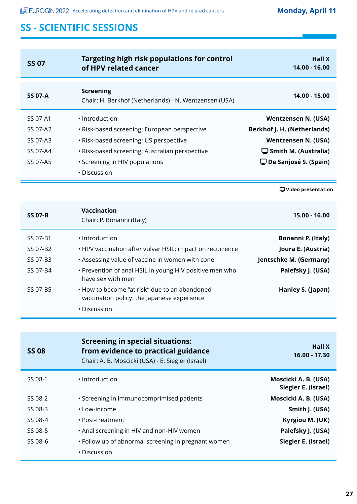| <b>SS 07</b>                                             | Targeting high risk populations for control<br>of HPV related cancer                                                                                                                                                                                            | <b>Hall X</b><br>$14.00 - 16.00$                                                                                                                                                |
|----------------------------------------------------------|-----------------------------------------------------------------------------------------------------------------------------------------------------------------------------------------------------------------------------------------------------------------|---------------------------------------------------------------------------------------------------------------------------------------------------------------------------------|
| <b>SS 07-A</b>                                           | <b>Screening</b><br>Chair: H. Berkhof (Netherlands) - N. Wentzensen (USA)                                                                                                                                                                                       | 14.00 - 15.00                                                                                                                                                                   |
| SS 07-A1<br>SS 07-A2<br>SS 07-A3<br>SS 07-A4<br>SS 07-A5 | • Introduction<br>• Risk-based screening: European perspective<br>· Risk-based screening: US perspective<br>· Risk-based screening: Australian perspective<br>• Screening in HIV populations<br>· Discussion                                                    | <b>Wentzensen N. (USA)</b><br><b>Berkhof J. H. (Netherlands)</b><br><b>Wentzensen N. (USA)</b><br>$\Box$ Smith M. (Australia)<br>$\mathbf{\mathbf{\Box}}$ De Sanjosé S. (Spain) |
|                                                          |                                                                                                                                                                                                                                                                 | <b></b> Uvideo presentation                                                                                                                                                     |
| <b>SS 07-B</b>                                           | <b>Vaccination</b><br>Chair: P. Bonanni (Italy)                                                                                                                                                                                                                 | 15.00 - 16.00                                                                                                                                                                   |
| SS 07-B1<br>SS 07-B2<br>SS 07-B3<br>SS 07-B4<br>SS 07-B5 | · Introduction<br>• HPV vaccination after vulvar HSIL: impact on recurrence<br>• Assessing value of vaccine in women with cone<br>. Prevention of anal HSIL in young HIV positive men who<br>have sex with men<br>• How to become "at risk" due to an abandoned | Bonanni P. (Italy)<br>Joura E. (Austria)<br>Jentschke M. (Germany)<br>Palefsky J. (USA)<br>Hanley S. (Japan)                                                                    |
|                                                          | vaccination policy: the Japanese experience<br>• Discussion                                                                                                                                                                                                     |                                                                                                                                                                                 |
|                                                          |                                                                                                                                                                                                                                                                 |                                                                                                                                                                                 |
| <b>SS 08</b>                                             | <b>Screening in special situations:</b><br>from evidence to practical guidance<br>Chair: A. B. Moscicki (USA) - E. Siegler (Israel)                                                                                                                             | <b>Hall X</b><br>16.00 - 17.30                                                                                                                                                  |
| SS 08-1                                                  | · Introduction                                                                                                                                                                                                                                                  | Moscicki A. B. (USA)<br>Siegler E. (Israel)                                                                                                                                     |

| Siegler E. (Israel)  |                                                     |         |
|----------------------|-----------------------------------------------------|---------|
| Moscicki A. B. (USA) | · Screening in immunocomprimised patients           | SS 08-2 |
| Smith J. (USA)       | • Low-income                                        | SS 08-3 |
| Kyrgiou M. (UK)      | • Post-treatment                                    | SS 08-4 |
| Palefsky J. (USA)    | • Anal screening in HIV and non-HIV women           | SS 08-5 |
| Siegler E. (Israel)  | • Follow up of abnormal screening in pregnant women | SS 08-6 |
|                      | • Discussion                                        |         |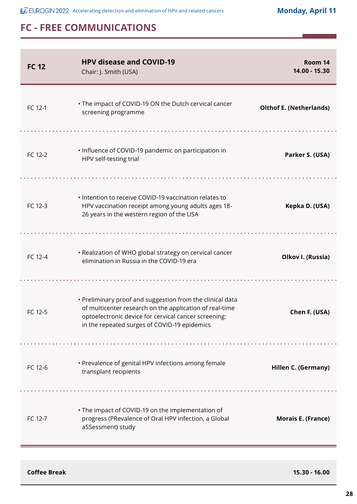| <b>FC 12</b> | <b>HPV disease and COVID-19</b><br>Chair: J. Smith (USA)                                                                                                                                                                     | Room 14<br>14.00 - 15.30       |
|--------------|------------------------------------------------------------------------------------------------------------------------------------------------------------------------------------------------------------------------------|--------------------------------|
| FC 12-1      | • The impact of COVID-19 ON the Dutch cervical cancer<br>screening programme                                                                                                                                                 | <b>Olthof E. (Netherlands)</b> |
| FC 12-2      | . Influence of COVID-19 pandemic on participation in<br>HPV self-testing trial                                                                                                                                               | Parker S. (USA)                |
| FC 12-3      | • Intention to receive COVID-19 vaccination relates to<br>HPV vaccination receipt among young adults ages 18-<br>26 years in the western region of the USA                                                                   | Kepka D. (USA)                 |
| FC 12-4      | • Realization of WHO global strategy on cervical cancer<br>elimination in Russia in the COVID-19 era                                                                                                                         | Olkov I. (Russia)              |
| FC 12-5      | • Preliminary proof and suggestion from the clinical data<br>of multicenter research on the application of real-time<br>optoelectronic device for cervical cancer screening:<br>in the repeated surges of COVID-19 epidemics | Chen F. (USA)                  |
| FC 12-6      | • Prevalence of genital HPV infections among female<br>transplant recipients                                                                                                                                                 | Hillen C. (Germany)            |
| FC 12-7      | • The impact of COVID-19 on the implementation of<br>progress (PRevalence of Oral HPV infection, a Global<br>aSSessment) study                                                                                               | <b>Morais E. (France)</b>      |

**Coffee Break 15.30 - 16.00**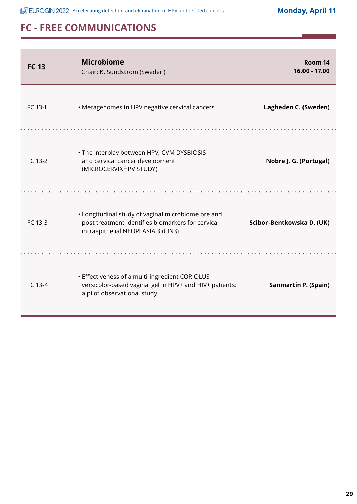| <b>FC 13</b> | <b>Microbiome</b><br>Chair: K. Sundström (Sweden)                                                                                             | Room 14<br>16.00 - 17.00  |
|--------------|-----------------------------------------------------------------------------------------------------------------------------------------------|---------------------------|
| FC 13-1      | • Metagenomes in HPV negative cervical cancers                                                                                                | Lagheden C. (Sweden)      |
| FC 13-2      | . The interplay between HPV, CVM DYSBIOSIS<br>and cervical cancer development<br>(MICROCERVIXHPV STUDY)                                       | Nobre J. G. (Portugal)    |
| FC 13-3      | • Longitudinal study of vaginal microbiome pre and<br>post treatment identifies biomarkers for cervical<br>intraepithelial NEOPLASIA 3 (CIN3) | Scibor-Bentkowska D. (UK) |
| FC 13-4      | • Effectiveness of a multi-ingredient CORIOLUS<br>versicolor-based vaginal gel in HPV+ and HIV+ patients:<br>a pilot observational study      | Sanmartín P. (Spain)      |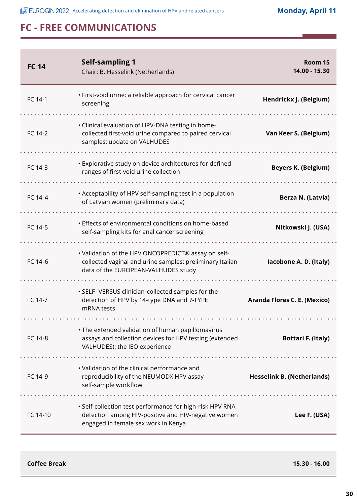| <b>FC 14</b> | <b>Self-sampling 1</b><br>Chair: B. Hesselink (Netherlands)                                                                                            | Room 15<br>14.00 - 15.30          |
|--------------|--------------------------------------------------------------------------------------------------------------------------------------------------------|-----------------------------------|
| FC 14-1      | · First-void urine: a reliable approach for cervical cancer<br>screening                                                                               | Hendrickx J. (Belgium)            |
| FC 14-2      | • Clinical evaluation of HPV-DNA testing in home-<br>collected first-void urine compared to paired cervical<br>samples: update on VALHUDES             | Van Keer S. (Belgium)             |
| FC 14-3      | • Explorative study on device architectures for defined<br>ranges of first-void urine collection                                                       | <b>Beyers K. (Belgium)</b>        |
| FC 14-4      | • Acceptability of HPV self-sampling test in a population<br>of Latvian women (preliminary data)                                                       | Berza N. (Latvia)                 |
| FC 14-5      | • Effects of environmental conditions on home-based<br>self-sampling kits for anal cancer screening                                                    | Nitkowski J. (USA)                |
| FC 14-6      | • Validation of the HPV ONCOPREDICT® assay on self-<br>collected vaginal and urine samples: preliminary Italian<br>data of the EUROPEAN-VALHUDES study | lacobone A. D. (Italy)            |
| FC 14-7      | • SELF- VERSUS clinician-collected samples for the<br>detection of HPV by 14-type DNA and 7-TYPE<br>mRNA tests                                         | Aranda Flores C. E. (Mexico)      |
| FC 14-8      | • The extended validation of human papillomavirus<br>assays and collection devices for HPV testing (extended<br>VALHUDES): the IEO experience          | <b>Bottari F. (Italy)</b>         |
| FC 14-9      | • Validation of the clinical performance and<br>reproducibility of the NEUMODX HPV assay<br>self-sample workflow                                       | <b>Hesselink B. (Netherlands)</b> |
| FC 14-10     | · Self-collection test performance for high-risk HPV RNA<br>detection among HIV-positive and HIV-negative women<br>engaged in female sex work in Kenya | Lee F. (USA)                      |

**Coffee Break 15.30 - 16.00**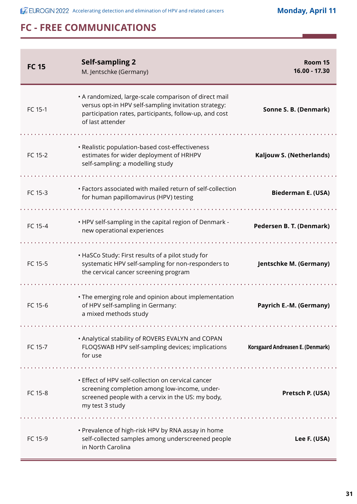**ACCEUROGIN 2022** Accelerating detection and elimination of HPV and related cancers

**Monday, April 11**

| <b>FC 15</b> | <b>Self-sampling 2</b><br>M. Jentschke (Germany)                                                                                                                                            | Room 15<br>16.00 - 17.30         |
|--------------|---------------------------------------------------------------------------------------------------------------------------------------------------------------------------------------------|----------------------------------|
| FC 15-1      | • A randomized, large-scale comparison of direct mail<br>versus opt-in HPV self-sampling invitation strategy:<br>participation rates, participants, follow-up, and cost<br>of last attender | Sonne S. B. (Denmark)            |
| FC 15-2      | · Realistic population-based cost-effectiveness<br>estimates for wider deployment of HRHPV<br>self-sampling: a modelling study                                                              | Kaljouw S. (Netherlands)         |
| FC 15-3      | • Factors associated with mailed return of self-collection<br>for human papillomavirus (HPV) testing                                                                                        | <b>Biederman E. (USA)</b>        |
| FC 15-4      | . HPV self-sampling in the capital region of Denmark -<br>new operational experiences                                                                                                       | Pedersen B. T. (Denmark)         |
| FC 15-5      | • HaSCo Study: First results of a pilot study for<br>systematic HPV self-sampling for non-responders to<br>the cervical cancer screening program                                            | Jentschke M. (Germany)           |
| FC 15-6      | • The emerging role and opinion about implementation<br>of HPV self-sampling in Germany:<br>a mixed methods study                                                                           | Payrich E.-M. (Germany)          |
| FC 15-7      | . Analytical stability of ROVERS EVALYN and COPAN<br>FLOQSWAB HPV self-sampling devices; implications<br>for use                                                                            | Korsgaard Andreasen E. (Denmark) |
| FC 15-8      | • Effect of HPV self-collection on cervical cancer<br>screening completion among low-income, under-<br>screened people with a cervix in the US: my body,<br>my test 3 study                 | Pretsch P. (USA)                 |
| FC 15-9      | • Prevalence of high-risk HPV by RNA assay in home<br>self-collected samples among underscreened people<br>in North Carolina                                                                | Lee F. (USA)                     |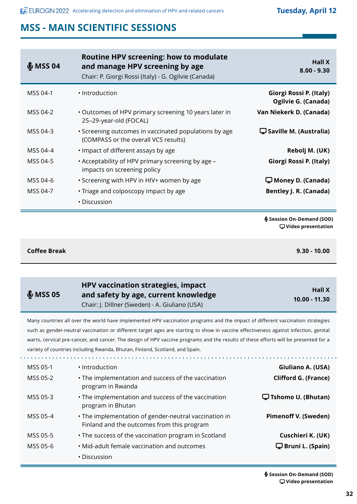| \$MSS04  | <b>Routine HPV screening: how to modulate</b><br>and manage HPV screening by age<br>Chair: P. Giorgi Rossi (Italy) - G. Ogilvie (Canada) | <b>Hall X</b><br>$8.00 - 9.30$                         |
|----------|------------------------------------------------------------------------------------------------------------------------------------------|--------------------------------------------------------|
| MSS 04-1 | • Introduction                                                                                                                           | Giorgi Rossi P. (Italy)<br>Ogilvie G. (Canada)         |
| MSS 04-2 | • Outcomes of HPV primary screening 10 years later in<br>25-29-year-old (FOCAL)                                                          | Van Niekerk D. (Canada)                                |
| MSS 04-3 | • Screening outcomes in vaccinated populations by age<br>(COMPASS or the overall VCS results)                                            | $\mathbf{\mathbf{\Box}}$ Saville M. (Australia)        |
| MSS 04-4 | • Impact of different assays by age                                                                                                      | Rebolj M. (UK)                                         |
| MSS 04-5 | . Acceptability of HPV primary screening by age -<br>impacts on screening policy                                                         | Giorgi Rossi P. (Italy)                                |
| MSS 04-6 | • Screening with HPV in HIV+ women by age                                                                                                | $\Box$ Money D. (Canada)                               |
| MSS 04-7 | • Triage and colposcopy impact by age                                                                                                    | <b>Bentley J. R. (Canada)</b>                          |
|          | • Discussion                                                                                                                             |                                                        |
|          |                                                                                                                                          | § Session On-Demand (SOD)<br>$\Box$ Video presentation |

**Coffee Break 9.30 - 10.00**

 $\mathbf{L}$  and  $\mathbf{L}$ 

ú.

| \$MSSO5 | HPV vaccination strategies, impact             | <b>Hall X</b>   |
|---------|------------------------------------------------|-----------------|
|         | and safety by age, current knowledge           | $10.00 - 11.30$ |
|         | Chair: J. Dillner (Sweden) - A. Giuliano (USA) |                 |

Many countries all over the world have implemented HPV vaccination programs and the impact of different vaccination strategies such as gender-neutral vaccination or different target ages are starting to show in vaccine effectiveness against infection, genital warts, cervical pre-cancer, and cancer. The design of HPV vaccine programs and the results of these efforts will be presented for a variety of countries including Rwanda, Bhutan, Finland, Scotland, and Spain.

 $\mathbb{R}^2$ 

**College** 

| MSS 05-1 | • Introduction                                                                                      | Giuliano A. (USA)           |
|----------|-----------------------------------------------------------------------------------------------------|-----------------------------|
| MSS 05-2 | • The implementation and success of the vaccination<br>program in Rwanda                            | <b>Clifford G. (France)</b> |
| MSS 05-3 | • The implementation and success of the vaccination<br>program in Bhutan                            | $\Box$ Tshomo U. (Bhutan)   |
| MSS 05-4 | • The implementation of gender-neutral vaccination in<br>Finland and the outcomes from this program | <b>Pimenoff V. (Sweden)</b> |
| MSS 05-5 | • The success of the vaccination program in Scotland                                                | Cuschieri K. (UK)           |
| MSS 05-6 | • Mid-adult female vaccination and outcomes                                                         | $\Box$ Bruni L. (Spain)     |
|          | • Discussion                                                                                        |                             |

 **Session On-Demand (SOD) Video presentation**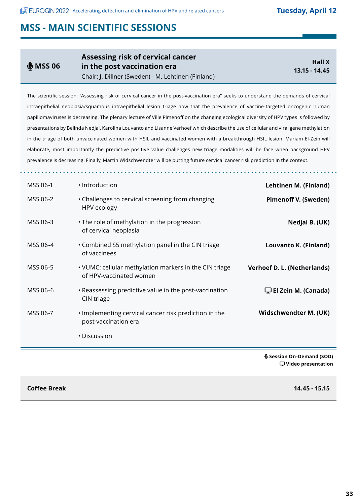#### $$$  MSS 06 **Assessing risk of cervical cancer in the post vaccination era** Chair: J. Dillner (Sweden) - M. Lehtinen (Finland) **Hall X 13.15 - 14.45**

The scientific session: "Assessing risk of cervical cancer in the post-vaccination era" seeks to understand the demands of cervical intraepithelial neoplasia/squamous intraepithelial lesion triage now that the prevalence of vaccine-targeted oncogenic human papillomaviruses is decreasing. The plenary lecture of Ville Pimenoff on the changing ecological diversity of HPV types is followed by presentations by Belinda Nedjai, Karolina Louvanto and Lisanne Verhoef which describe the use of cellular and viral gene methylation in the triage of both unvaccinated women with HSIL and vaccinated women with a breakthrough HSIL lesion. Mariam El-Zein will elaborate, most importantly the predictive positive value challenges new triage modalities will be face when background HPV prevalence is decreasing. Finally, Martin Widschwendter will be putting future cervical cancer risk prediction in the context.

| Lehtinen M. (Finland)              | · Introduction                                                                    | MSS 06-1 |
|------------------------------------|-----------------------------------------------------------------------------------|----------|
| <b>Pimenoff V. (Sweden)</b>        | • Challenges to cervical screening from changing<br>HPV ecology                   | MSS 06-2 |
| Nedjai B. (UK)                     | • The role of methylation in the progression<br>of cervical neoplasia             | MSS 06-3 |
| Louvanto K. (Finland)              | • Combined S5 methylation panel in the CIN triage<br>of vaccinees                 | MSS 06-4 |
| Verhoef D. L. (Netherlands)        | • VUMC: cellular methylation markers in the CIN triage<br>of HPV-vaccinated women | MSS 06-5 |
| $\mathbf \Box$ El Zein M. (Canada) | • Reassessing predictive value in the post-vaccination<br>CIN triage              | MSS 06-6 |
| Widschwendter M. (UK)              | . Implementing cervical cancer risk prediction in the<br>post-vaccination era     | MSS 06-7 |
|                                    | • Discussion                                                                      |          |
| § Session On-Demand (SOD)          |                                                                                   |          |

 **Video presentation**

**Coffee Break 14.45 - 15.15**

E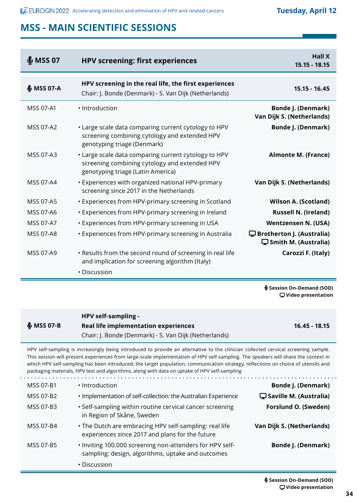| $$MSS$ 07        | <b>HPV screening: first experiences</b>                                                                                                    | <b>Hall X</b><br>$15.15 - 18.15$                                        |
|------------------|--------------------------------------------------------------------------------------------------------------------------------------------|-------------------------------------------------------------------------|
| $$$ MSS 07-A     | HPV screening in the real life, the first experiences<br>Chair: J. Bonde (Denmark) - S. Van Dijk (Netherlands)                             | $15.15 - 16.45$                                                         |
| MSS 07-A1        | · Introduction                                                                                                                             | <b>Bonde J. (Denmark)</b><br>Van Dijk S. (Netherlands)                  |
| <b>MSS 07-A2</b> | • Large scale data comparing current cytology to HPV<br>screening combining cytology and extended HPV<br>genotyping triage (Denmark)       | <b>Bonde J. (Denmark)</b>                                               |
| MSS 07-A3        | • Large scale data comparing current cytology to HPV<br>screening combining cytology and extended HPV<br>genotyping triage (Latin America) | <b>Almonte M. (France)</b>                                              |
| MSS 07-A4        | • Experiences with organized national HPV-primary<br>screening since 2017 in the Netherlands                                               | Van Dijk S. (Netherlands)                                               |
| <b>MSS 07-A5</b> | • Experiences from HPV-primary screening in Scotland                                                                                       | <b>Wilson A. (Scotland)</b>                                             |
| MSS 07-A6        | • Experiences from HPV-primary screening in Ireland                                                                                        | <b>Russell N. (Ireland)</b>                                             |
| MSS 07-A7        | • Experiences from HPV-primary screening in USA                                                                                            | <b>Wentzensen N. (USA)</b>                                              |
| <b>MSS 07-A8</b> | • Experiences from HPV-primary screening in Australia                                                                                      | $\mathbf \Box$ Brotherton J. (Australia)<br>$\Box$ Smith M. (Australia) |
| MSS 07-A9        | . Results from the second round of screening in real life<br>and implication for screening algorithm (Italy)                               | Carozzi F. (Italy)                                                      |
|                  | • Discussion                                                                                                                               |                                                                         |

 **Session On-Demand (SOD) Video presentation**

**16.45 - 18.15**

|                   | HPV self-sampling -                                   |
|-------------------|-------------------------------------------------------|
| <b>€ мss о7-в</b> | Real life implementation experiences                  |
|                   | Chair: J. Bonde (Denmark) - S. Van Dijk (Netherlands) |

HPV self-sampling is increasingly being introduced to provide an alternative to the clinician collected cervical screening sample. This session will present experiences from large-scale implementation of HPV self-sampling. The speakers will share the context in which HPV self-sampling has been introduced; the target population, communication strategy, reflections on choice of utensils and packaging materials, HPV test and algorithms, along with data on uptake of HPV self-sampling

| • Introduction                                                                                                | <b>Bonde J. (Denmark)</b>                       |
|---------------------------------------------------------------------------------------------------------------|-------------------------------------------------|
| . Implementation of self-collection: the Australian Experience                                                | $\mathbf{\mathbf{\Box}}$ Saville M. (Australia) |
| • Self-sampling within routine cervical cancer screening<br>in Region of Skåne, Sweden                        | Forslund O. (Sweden)                            |
| . The Dutch are embracing HPV self-sampling: real life<br>experiences since 2017 and plans for the future     | Van Dijk S. (Netherlands)                       |
| • Inviting 100.000 screening non-attenders for HPV self-<br>sampling: design, algorithms, uptake and outcomes | <b>Bonde J. (Denmark)</b>                       |
| • Discussion                                                                                                  |                                                 |
|                                                                                                               |                                                 |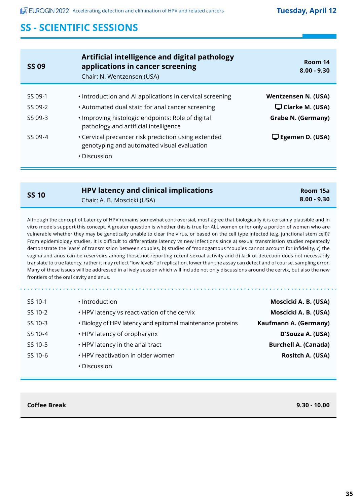| <b>SS 09</b> | Artificial intelligence and digital pathology<br>applications in cancer screening<br>Chair: N. Wentzensen (USA) | Room 14<br>$8.00 - 9.30$ |
|--------------|-----------------------------------------------------------------------------------------------------------------|--------------------------|
| SS 09-1      | • Introduction and AI applications in cervical screening                                                        | Wentzensen N. (USA)      |
|              |                                                                                                                 |                          |
| SS 09-2      | • Automated dual stain for anal cancer screening                                                                | $\Box$ Clarke M. (USA)   |
| SS 09-3      | . Improving histologic endpoints: Role of digital<br>pathology and artificial intelligence                      | Grabe N. (Germany)       |
| SS 09-4      | • Cervical precancer risk prediction using extended<br>genotyping and automated visual evaluation               | $\Box$ Egemen D. (USA)   |
|              | • Discussion                                                                                                    |                          |

| <b>SS 10</b> | <b>HPV latency and clinical implications</b> | Room 15a      |
|--------------|----------------------------------------------|---------------|
|              | Chair: A. B. Moscicki (USA)                  | $8.00 - 9.30$ |

Although the concept of Latency of HPV remains somewhat controversial, most agree that biologically it is certainly plausible and in vitro models support this concept. A greater question is whether this is true for ALL women or for only a portion of women who are vulnerable whether they may be genetically unable to clear the virus, or based on the cell type infected (e.g. junctional stem cell)? From epidemiology studies, it is difficult to differentiate latency vs new infections since a) sexual transmission studies repeatedly demonstrate the 'ease' of transmission between couples, b) studies of "monogamous "couples cannot account for infidelity, c) the vagina and anus can be reservoirs among those not reporting recent sexual activity and d) lack of detection does not necessarily translate to true latency, rather it may reflect "low levels" of replication, lower than the assay can detect and of course, sampling error. Many of these issues will be addressed in a lively session which will include not only discussions around the cervix, but also the new frontiers of the oral cavity and anus.

| SS 10-1 | • Introduction                                             | Moscicki A. B. (USA)        |
|---------|------------------------------------------------------------|-----------------------------|
| SS 10-2 | • HPV latency vs reactivation of the cervix                | Moscicki A. B. (USA)        |
| SS 10-3 | • Biology of HPV latency and epitomal maintenance proteins | Kaufmann A. (Germany)       |
| SS 10-4 | • HPV latency of oropharynx                                | D'Souza A. (USA)            |
| SS 10-5 | • HPV latency in the anal tract                            | <b>Burchell A. (Canada)</b> |
| SS 10-6 | • HPV reactivation in older women                          | Rositch A. (USA)            |
|         | • Discussion                                               |                             |

#### **Coffee Break 9.30 - 10.00**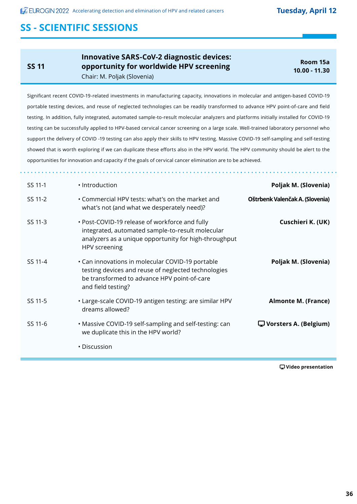**SS 11**

Ė

**Innovative SARS-CoV-2 diagnostic devices: opportunity for worldwide HPV screening** Chair: M. Poljak (Slovenia)

**Room 15a 10.00 - 11.30**

Significant recent COVID-19-related investments in manufacturing capacity, innovations in molecular and antigen-based COVID-19 portable testing devices, and reuse of neglected technologies can be readily transformed to advance HPV point-of-care and field testing. In addition, fully integrated, automated sample-to-result molecular analyzers and platforms initially installed for COVID-19 testing can be successfully applied to HPV-based cervical cancer screening on a large scale. Well-trained laboratory personnel who support the delivery of COVID -19 testing can also apply their skills to HPV testing. Massive COVID-19 self-sampling and self-testing showed that is worth exploring if we can duplicate these efforts also in the HPV world. The HPV community should be alert to the opportunities for innovation and capacity if the goals of cervical cancer elimination are to be achieved.

| SS 11-1 | • Introduction                                                                                                                                                               | Poljak M. (Slovenia)            |
|---------|------------------------------------------------------------------------------------------------------------------------------------------------------------------------------|---------------------------------|
| SS 11-2 | • Commercial HPV tests: what's on the market and<br>what's not (and what we desperately need)?                                                                               | Oštrbenk Valenčak A. (Slovenia) |
| SS 11-3 | • Post-COVID-19 release of workforce and fully<br>integrated, automated sample-to-result molecular<br>analyzers as a unique opportunity for high-throughput<br>HPV screening | Cuschieri K. (UK)               |
| SS 11-4 | • Can innovations in molecular COVID-19 portable<br>testing devices and reuse of neglected technologies<br>be transformed to advance HPV point-of-care<br>and field testing? | Poljak M. (Slovenia)            |
| SS 11-5 | • Large-scale COVID-19 antigen testing: are similar HPV<br>dreams allowed?                                                                                                   | <b>Almonte M. (France)</b>      |
| SS 11-6 | • Massive COVID-19 self-sampling and self-testing: can<br>we duplicate this in the HPV world?                                                                                | $\Box$ Vorsters A. (Belgium)    |
|         | • Discussion                                                                                                                                                                 |                                 |

 **Video presentation**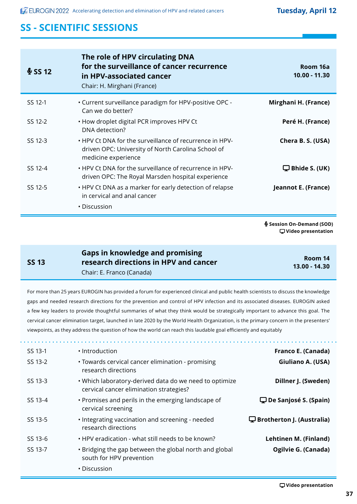| \$SS12  | The role of HPV circulating DNA<br>for the surveillance of cancer recurrence<br>in HPV-associated cancer<br>Chair: H. Mirghani (France) | Room 16a<br>$10.00 - 11.30$ |
|---------|-----------------------------------------------------------------------------------------------------------------------------------------|-----------------------------|
| SS 12-1 | . Current surveillance paradigm for HPV-positive OPC -<br>Can we do better?                                                             | Mirghani H. (France)        |
| SS 12-2 | . How droplet digital PCR improves HPV Ct<br>DNA detection?                                                                             | Peré H. (France)            |
| SS 12-3 | • HPV Ct DNA for the surveillance of recurrence in HPV-<br>driven OPC: University of North Carolina School of<br>medicine experience    | Chera B. S. (USA)           |
| SS 12-4 | • HPV Ct DNA for the surveillance of recurrence in HPV-<br>driven OPC: The Royal Marsden hospital experience                            | $\Box$ Bhide S. (UK)        |
| SS 12-5 | • HPV Ct DNA as a marker for early detection of relapse<br>in cervical and anal cancer                                                  | Jeannot E. (France)         |
|         | • Discussion                                                                                                                            |                             |

 **Session On-Demand (SOD) Video presentation**

#### **SS 13**

**Gaps in knowledge and promising research directions in HPV and cancer**

**Room 14 13.00 - 14.30**

Chair: E. Franco (Canada)

For more than 25 years EUROGIN has provided a forum for experienced clinical and public health scientists to discuss the knowledge gaps and needed research directions for the prevention and control of HPV infection and its associated diseases. EUROGIN asked a few key leaders to provide thoughtful summaries of what they think would be strategically important to advance this goal. The cervical cancer elimination target, launched in late 2020 by the World Health Organization, is the primary concern in the presenters' viewpoints, as they address the question of how the world can reach this laudable goal efficiently and equitably

| Franco E. (Canada)                    | • Introduction                                                                                    | SS 13-1 |
|---------------------------------------|---------------------------------------------------------------------------------------------------|---------|
| Giuliano A. (USA)                     | • Towards cervical cancer elimination - promising<br>research directions                          | SS 13-2 |
| Dillner J. (Sweden)                   | . Which laboratory-derived data do we need to optimize<br>cervical cancer elimination strategies? | SS 13-3 |
| $\mathbf{\Box}$ De Sanjosé S. (Spain) | • Promises and perils in the emerging landscape of<br>cervical screening                          | SS 13-4 |
| $\Box$ Brotherton J. (Australia)      | • Integrating vaccination and screening - needed<br>research directions                           | SS 13-5 |
| <b>Lehtinen M. (Finland)</b>          | • HPV eradication - what still needs to be known?                                                 | SS 13-6 |
| Ogilvie G. (Canada)                   | • Bridging the gap between the global north and global<br>south for HPV prevention                | SS 13-7 |
|                                       | • Discussion                                                                                      |         |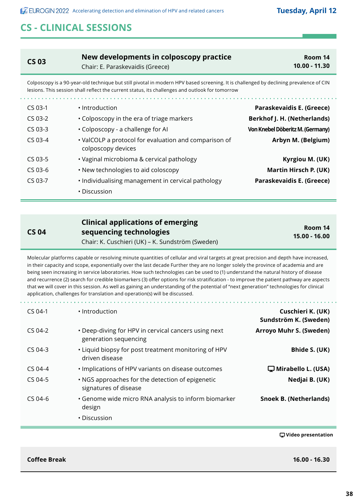## **CS - CLINICAL SESSIONS**

| <b>CS 03</b>                                                                                                                                                                                                                              | New developments in colposcopy practice<br>Chair: E. Paraskevaidis (Greece) | Room 14<br>10.00 - 11.30         |
|-------------------------------------------------------------------------------------------------------------------------------------------------------------------------------------------------------------------------------------------|-----------------------------------------------------------------------------|----------------------------------|
| Colposcopy is a 90-year-old technique but still pivotal in modern HPV based screening. It is challenged by declining prevalence of CIN<br>lesions. This session shall reflect the current status, its challenges and outlook for tomorrow |                                                                             |                                  |
| $CS$ 03-1                                                                                                                                                                                                                                 | • Introduction                                                              | Paraskevaidis E. (Greece)        |
| $CS$ 03-2                                                                                                                                                                                                                                 | • Colposcopy in the era of triage markers                                   | Berkhof J. H. (Netherlands)      |
| $CS$ 03-3                                                                                                                                                                                                                                 | • Colposcopy - a challenge for Al                                           | Von Knebel Döberitz M. (Germany) |
| $CS$ 03-4                                                                                                                                                                                                                                 | • ValCOLP a protocol for evaluation and comparison of<br>colposcopy devices | Arbyn M. (Belgium)               |
| $CS$ 03-5                                                                                                                                                                                                                                 | • Vaginal microbioma & cervical pathology                                   | Kyrgiou M. (UK)                  |
| $CS$ 03-6                                                                                                                                                                                                                                 | • New technologies to aid coloscopy                                         | Martin Hirsch P. (UK)            |
| $CS$ 03-7                                                                                                                                                                                                                                 | • Individualising management in cervical pathology                          | Paraskevaidis E. (Greece)        |
|                                                                                                                                                                                                                                           | • Discussion                                                                |                                  |

| <b>CS 04</b> |  |
|--------------|--|

#### **Clinical applications of emerging sequencing technologies** Chair: K. Cuschieri (UK) – K. Sundström (Sweden)

**Room 14 15.00 - 16.00**

Molecular platforms capable or resolving minute quantities of cellular and viral targets at great precision and depth have increased, in their capacity and scope, exponentially over the last decade Further they are no longer solely the province of academia and are being seen increasing in service laboratories. How such technologies can be used to (1) understand the natural history of disease and recurrence (2) search for credible biomarkers (3) offer options for risk stratification - to improve the patient pathway are aspects that we will cover in this session. As well as gaining an understanding of the potential of "next generation" technologies for clinical application, challenges for translation and operation(s) will be discussed.

| $CS$ 04-1 | • Introduction                                                                | Cuschieri K. (UK)<br>Sundström K. (Sweden) |
|-----------|-------------------------------------------------------------------------------|--------------------------------------------|
| CS 04-2   | • Deep-diving for HPV in cervical cancers using next<br>generation sequencing | <b>Arroyo Muhr S. (Sweden)</b>             |
| $CS$ 04-3 | . Liquid biopsy for post treatment monitoring of HPV<br>driven disease        | Bhide S. (UK)                              |
| $CS$ 04-4 | . Implications of HPV variants on disease outcomes                            | $\Box$ Mirabello L. (USA)                  |
| CS 04-5   | . NGS approaches for the detection of epigenetic<br>signatures of disease     | Nedjai B. (UK)                             |
| $CS$ 04-6 | • Genome wide micro RNA analysis to inform biomarker<br>design                | <b>Snoek B. (Netherlands)</b>              |
|           | • Discussion                                                                  |                                            |

 **Video presentation**

**Coffee Break 16.00 - 16.30**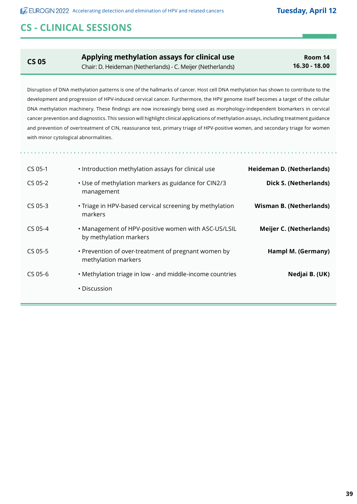## **CS - CLINICAL SESSIONS**

**CS 05 Applying methylation assays for clinical use** Chair: D. Heideman (Netherlands) - C. Meijer (Netherlands)

**Room 14 16.30 - 18.00**

Disruption of DNA methylation patterns is one of the hallmarks of cancer. Host cell DNA methylation has shown to contribute to the development and progression of HPV-induced cervical cancer. Furthermore, the HPV genome itself becomes a target of the cellular DNA methylation machinery. These findings are now increasingly being used as morphology-independent biomarkers in cervical cancer prevention and diagnostics. This session will highlight clinical applications of methylation assays, including treatment guidance and prevention of overtreatment of CIN, reassurance test, primary triage of HPV-positive women, and secondary triage for women with minor cytological abnormalities.

| Heideman D. (Netherlands)      | . Introduction methylation assays for clinical use                            | $CS$ 05-1 |
|--------------------------------|-------------------------------------------------------------------------------|-----------|
| Dick S. (Netherlands)          | • Use of methylation markers as guidance for CIN2/3<br>management             | $CS$ 05-2 |
| <b>Wisman B. (Netherlands)</b> | • Triage in HPV-based cervical screening by methylation<br>markers            | $CS$ 05-3 |
| <b>Meijer C. (Netherlands)</b> | • Management of HPV-positive women with ASC-US/LSIL<br>by methylation markers | $CS$ 05-4 |
| Hampl M. (Germany)             | • Prevention of over-treatment of pregnant women by<br>methylation markers    | $CS$ 05-5 |
| Nedjai B. (UK)                 | • Methylation triage in low - and middle-income countries                     | $CS$ 05-6 |
|                                | • Discussion                                                                  |           |
|                                |                                                                               |           |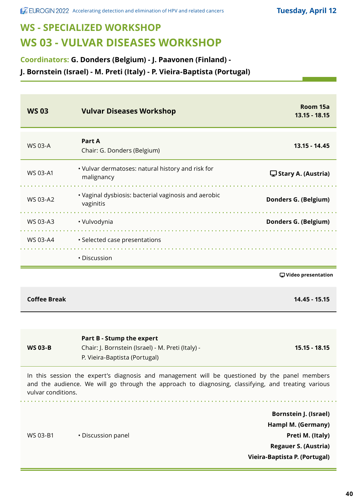# **WS - SPECIALIZED WORKSHOP WS 03 - VULVAR DISEASES WORKSHOP**

**Coordinators: G. Donders (Belgium) - J. Paavonen (Finland) -**

**J. Bornstein (Israel) - M. Preti (Italy) - P. Vieira-Baptista (Portugal)**

| <b>WS03</b>         | <b>Vulvar Diseases Workshop</b>                                                                                                                                                                     | Room 15a<br>$13.15 - 18.15$                                                                                                            |
|---------------------|-----------------------------------------------------------------------------------------------------------------------------------------------------------------------------------------------------|----------------------------------------------------------------------------------------------------------------------------------------|
| <b>WS 03-A</b>      | <b>Part A</b><br>Chair: G. Donders (Belgium)                                                                                                                                                        | $13.15 - 14.45$                                                                                                                        |
| WS 03-A1            | • Vulvar dermatoses: natural history and risk for<br>malignancy                                                                                                                                     | $\Box$ Stary A. (Austria)                                                                                                              |
| WS 03-A2            | • Vaginal dysbiosis: bacterial vaginosis and aerobic<br>vaginitis                                                                                                                                   | Donders G. (Belgium)                                                                                                                   |
|                     | WS 03-A3 · Vulvodynia                                                                                                                                                                               | <b>Donders G. (Belgium)</b>                                                                                                            |
|                     | WS 03-A4 • Selected case presentations                                                                                                                                                              |                                                                                                                                        |
|                     | • Discussion                                                                                                                                                                                        |                                                                                                                                        |
|                     |                                                                                                                                                                                                     | <b></b> U Video presentation                                                                                                           |
| <b>Coffee Break</b> |                                                                                                                                                                                                     | 14.45 - 15.15                                                                                                                          |
| <b>WS 03-B</b>      | Part B - Stump the expert<br>Chair: J. Bornstein (Israel) - M. Preti (Italy) -<br>P. Vieira-Baptista (Portugal)                                                                                     | $15.15 - 18.15$                                                                                                                        |
| vulvar conditions.  | In this session the expert's diagnosis and management will be questioned by the panel members<br>and the audience. We will go through the approach to diagnosing, classifying, and treating various |                                                                                                                                        |
| WS 03-B1            | • Discussion panel                                                                                                                                                                                  | <b>Bornstein J. (Israel)</b><br>Hampl M. (Germany)<br>Preti M. (Italy)<br><b>Regauer S. (Austria)</b><br>Vieira-Baptista P. (Portugal) |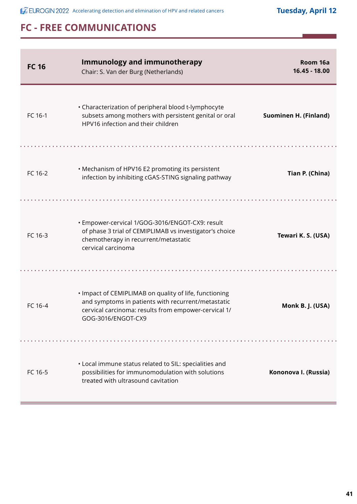| <b>FC 16</b> | <b>Immunology and immunotherapy</b><br>Chair: S. Van der Burg (Netherlands)                                                                                                                | Room 16a<br>16.45 - 18.00    |
|--------------|--------------------------------------------------------------------------------------------------------------------------------------------------------------------------------------------|------------------------------|
| FC 16-1      | • Characterization of peripheral blood t-lymphocyte<br>subsets among mothers with persistent genital or oral<br>HPV16 infection and their children                                         | <b>Suominen H. (Finland)</b> |
| FC 16-2      | • Mechanism of HPV16 E2 promoting its persistent<br>infection by inhibiting cGAS-STING signaling pathway                                                                                   | Tian P. (China)              |
| FC 16-3      | · Empower-cervical 1/GOG-3016/ENGOT-CX9: result<br>of phase 3 trial of CEMIPLIMAB vs investigator's choice<br>chemotherapy in recurrent/metastatic<br>cervical carcinoma                   | Tewari K. S. (USA)           |
| FC 16-4      | . Impact of CEMIPLIMAB on quality of life, functioning<br>and symptoms in patients with recurrent/metastatic<br>cervical carcinoma: results from empower-cervical 1/<br>GOG-3016/ENGOT-CX9 | Monk B. J. (USA)             |
| FC 16-5      | • Local immune status related to SIL: specialities and<br>possibilities for immunomodulation with solutions<br>treated with ultrasound cavitation                                          | Kononova I. (Russia)         |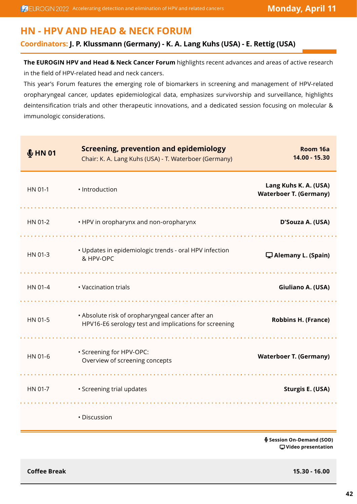## **HN - HPV AND HEAD & NECK FORUM**

#### **Coordinators: J. P. Klussmann (Germany) - K. A. Lang Kuhs (USA) - E. Rettig (USA)**

**The EUROGIN HPV and Head & Neck Cancer Forum** highlights recent advances and areas of active research in the field of HPV-related head and neck cancers.

This year's Forum features the emerging role of biomarkers in screening and management of HPV-related oropharyngeal cancer, updates epidemiological data, emphasizes survivorship and surveillance, highlights deintensification trials and other therapeutic innovations, and a dedicated session focusing on molecular & immunologic considerations.

| \$HMO1  | <b>Screening, prevention and epidemiology</b><br>Chair: K. A. Lang Kuhs (USA) - T. Waterboer (Germany)    | Room 16a<br>14.00 - 15.30                              |
|---------|-----------------------------------------------------------------------------------------------------------|--------------------------------------------------------|
| HN 01-1 | · Introduction                                                                                            | Lang Kuhs K. A. (USA)<br><b>Waterboer T. (Germany)</b> |
| HN 01-2 | • HPV in oropharynx and non-oropharynx                                                                    | D'Souza A. (USA)                                       |
| HN 01-3 | · Updates in epidemiologic trends - oral HPV infection<br>& HPV-OPC                                       | Alemany L. (Spain)                                     |
| HN 01-4 | • Vaccination trials                                                                                      | Giuliano A. (USA)                                      |
| HN 01-5 | • Absolute risk of oropharyngeal cancer after an<br>HPV16-E6 serology test and implications for screening | <b>Robbins H. (France)</b>                             |
| HN 01-6 | · Screening for HPV-OPC:<br>Overview of screening concepts                                                | <b>Waterboer T. (Germany)</b>                          |
| HN 01-7 | • Screening trial updates                                                                                 | <b>Sturgis E. (USA)</b>                                |
|         | · Discussion                                                                                              |                                                        |

 **Session On-Demand (SOD) Video presentation**

**Coffee Break 15.30 - 16.00**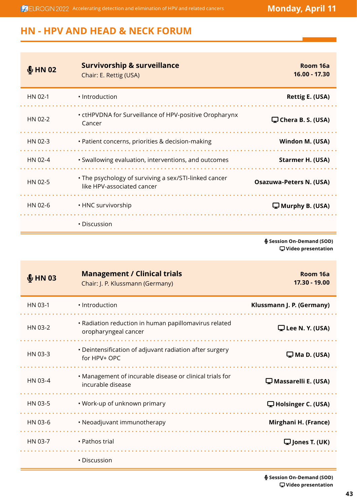**ACCOMENT ACCELER ACCELERATION** Accelerating detection and elimination of HPV and related cancers **Monday, April 11** 

# **HN - HPV AND HEAD & NECK FORUM**

| \$HNO2\$ | <b>Survivorship &amp; surveillance</b><br>Chair: E. Rettig (USA)                    | Room 16a<br>16.00 - 17.30      |
|----------|-------------------------------------------------------------------------------------|--------------------------------|
| HN 02-1  | · Introduction                                                                      | Rettig E. (USA)                |
| HN 02-2  | • ctHPVDNA for Surveillance of HPV-positive Oropharynx<br>Cancer                    | $\Box$ Chera B. S. (USA)       |
| HN 02-3  | • Patient concerns, priorities & decision-making                                    | Windon M. (USA)                |
| HN 02-4  | • Swallowing evaluation, interventions, and outcomes                                | Starmer H. (USA)               |
| HN 02-5  | • The psychology of surviving a sex/STI-linked cancer<br>like HPV-associated cancer | <b>Osazuwa-Peters N. (USA)</b> |
| HN 02-6  | • HNC survivorship                                                                  | $\Box$ Murphy B. (USA)         |
|          | • Discussion                                                                        |                                |

 **Session On-Demand (SOD) Video presentation**

| \$H N 03 | <b>Management / Clinical trials</b><br>Chair: J. P. Klussmann (Germany)       | Room 16a<br>17.30 - 19.00  |
|----------|-------------------------------------------------------------------------------|----------------------------|
| HN 03-1  | · Introduction                                                                | Klussmann J. P. (Germany)  |
| HN 03-2  | • Radiation reduction in human papillomavirus related<br>oropharyngeal cancer | $\Box$ Lee N. Y. (USA)     |
| HN 03-3  | • Deintensification of adjuvant radiation after surgery<br>for HPV+ OPC       | $\Box$ Ma D. (USA)         |
| HN 03-4  | • Management of incurable disease or clinical trials for<br>incurable disease | $\Box$ Massarelli E. (USA) |
| HN 03-5  | • Work-up of unknown primary                                                  | $\Box$ Holsinger C. (USA)  |
| HN 03-6  | • Neoadjuvant immunotherapy                                                   | Mirghani H. (France)       |
| HN 03-7  | • Pathos trial                                                                | $\Box$ Jones T. (UK)       |
|          | • Discussion                                                                  |                            |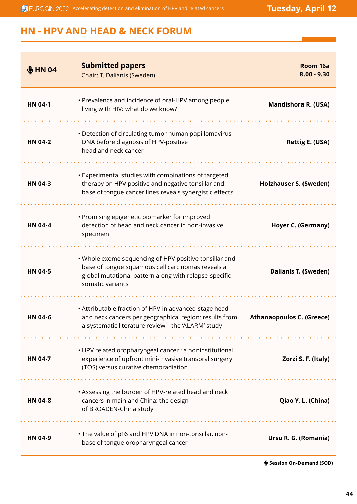**ACUROGIN 2022** Accelerating detection and elimination of HPV and related cancers **Tuesday, April 12** 

## **HN - HPV AND HEAD & NECK FORUM**

| \$HM04         | <b>Submitted papers</b><br>Chair: T. Dalianis (Sweden)                                                                                                                                   | Room 16a<br>$8.00 - 9.30$        |
|----------------|------------------------------------------------------------------------------------------------------------------------------------------------------------------------------------------|----------------------------------|
| <b>HN 04-1</b> | • Prevalence and incidence of oral-HPV among people<br>living with HIV: what do we know?                                                                                                 | <b>Mandishora R. (USA)</b>       |
| <b>HN 04-2</b> | • Detection of circulating tumor human papillomavirus<br>DNA before diagnosis of HPV-positive<br>head and neck cancer                                                                    | <b>Rettig E. (USA)</b>           |
| HN 04-3        | • Experimental studies with combinations of targeted<br>therapy on HPV positive and negative tonsillar and<br>base of tongue cancer lines reveals synergistic effects                    | <b>Holzhauser S. (Sweden)</b>    |
| <b>HN 04-4</b> | • Promising epigenetic biomarker for improved<br>detection of head and neck cancer in non-invasive<br>specimen                                                                           | Hoyer C. (Germany)               |
| <b>HN 04-5</b> | . Whole exome sequencing of HPV positive tonsillar and<br>base of tongue squamous cell carcinomas reveals a<br>global mutational pattern along with relapse-specific<br>somatic variants | <b>Dalianis T. (Sweden)</b>      |
| <b>HN 04-6</b> | • Attributable fraction of HPV in advanced stage head<br>and neck cancers per geographical region: results from<br>a systematic literature review - the 'ALARM' study                    | <b>Athanaopoulos C. (Greece)</b> |
| <b>HN 04-7</b> | • HPV related oropharyngeal cancer : a noninstitutional<br>experience of upfront mini-invasive transoral surgery<br>(TOS) versus curative chemoradiation                                 | Zorzi S. F. (Italy)              |
| <b>HN 04-8</b> | . Assessing the burden of HPV-related head and neck<br>cancers in mainland China: the design<br>of BROADEN-China study                                                                   | Qiao Y. L. (China)               |
| HN 04-9        | . The value of p16 and HPV DNA in non-tonsillar, non-<br>base of tongue oropharyngeal cancer                                                                                             | Ursu R. G. (Romania)             |

 **Session On-Demand (SOD)**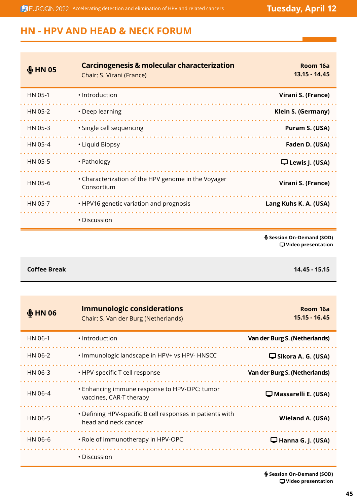**ACUROGIN 2022** Accelerating detection and elimination of HPV and related cancers **Tuesday, April 12** 

# **HN - HPV AND HEAD & NECK FORUM**

| \$HMO5  | <b>Carcinogenesis &amp; molecular characterization</b><br>Chair: S. Virani (France) | Room 16a<br>13.15 - 14.45 |
|---------|-------------------------------------------------------------------------------------|---------------------------|
| HN 05-1 | · Introduction                                                                      | Virani S. (France)        |
| HN 05-2 | • Deep learning                                                                     | Klein S. (Germany)        |
| HN 05-3 | · Single cell sequencing                                                            | Puram S. (USA)            |
| HN 05-4 | • Liquid Biopsy                                                                     | Faden D. (USA)            |
| HN 05-5 | • Pathology                                                                         | $\Box$ Lewis J. (USA)     |
| HN 05-6 | • Characterization of the HPV genome in the Voyager<br>Consortium                   | Virani S. (France)        |
| HN 05-7 | • HPV16 genetic variation and prognosis                                             | Lang Kuhs K. A. (USA)     |
|         | • Discussion                                                                        |                           |

 **Session On-Demand (SOD) Video presentation**

**Coffee Break 14.45 - 15.15**

| \$HM06  | <b>Immunologic considerations</b><br>Chair: S. Van der Burg (Netherlands)         | Room 16a<br>15.15 - 16.45     |
|---------|-----------------------------------------------------------------------------------|-------------------------------|
| HN 06-1 | • Introduction                                                                    | Van der Burg S. (Netherlands) |
| HN 06-2 | . Immunologic landscape in HPV+ vs HPV- HNSCC                                     | $\Box$ Sikora A. G. (USA)     |
| HN 06-3 | • HPV-specific T cell response                                                    | Van der Burg S. (Netherlands) |
| HN 06-4 | • Enhancing immune response to HPV-OPC: tumor<br>vaccines, CAR-T therapy          | $\Box$ Massarelli E. (USA)    |
| HN 06-5 | • Defining HPV-specific B cell responses in patients with<br>head and neck cancer | Wieland A. (USA)              |
| HN 06-6 | . Role of immunotherapy in HPV-OPC                                                | $\Box$ Hanna G. J. (USA)      |
|         | $\cdot$ Discussion                                                                |                               |

 **Session On-Demand (SOD) Video presentation**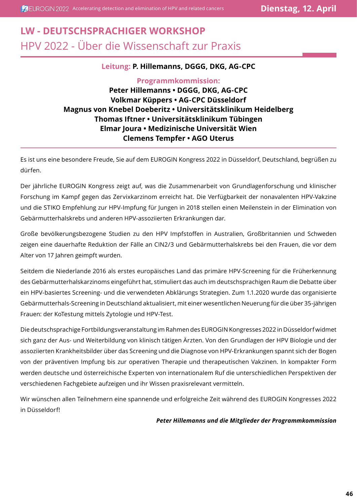# **LW - DEUTSCHSPRACHIGER WORKSHOP** HPV 2022 - Über die Wissenschaft zur Praxis

#### **Leitung: P. Hillemanns, DGGG, DKG, AG-CPC**

#### **Programmkommission: Peter Hillemanns • DGGG, DKG, AG-CPC Volkmar Küppers • AG-CPC Düsseldorf Magnus von Knebel Doeberitz • Universitätsklinikum Heidelberg Thomas Iftner • Universitätsklinikum Tübingen Elmar Joura • Medizinische Universität Wien Clemens Tempfer • AGO Uterus**

Es ist uns eine besondere Freude, Sie auf dem EUROGIN Kongress 2022 in Düsseldorf, Deutschland, begrüßen zu dürfen.

Der jährliche EUROGIN Kongress zeigt auf, was die Zusammenarbeit von Grundlagenforschung und klinischer Forschung im Kampf gegen das Zervixkarzinom erreicht hat. Die Verfügbarkeit der nonavalenten HPV-Vakzine und die STIKO Empfehlung zur HPV-Impfung für Jungen in 2018 stellen einen Meilenstein in der Elimination von Gebärmutterhalskrebs und anderen HPV-assoziierten Erkrankungen dar.

Große bevölkerungsbezogene Studien zu den HPV Impfstoffen in Australien, Großbritannien und Schweden zeigen eine dauerhafte Reduktion der Fälle an CIN2/3 und Gebärmutterhalskrebs bei den Frauen, die vor dem Alter von 17 Jahren geimpft wurden.

Seitdem die Niederlande 2016 als erstes europäisches Land das primäre HPV-Screening für die Früherkennung des Gebärmutterhalskarzinoms eingeführt hat, stimuliert das auch im deutschsprachigen Raum die Debatte über ein HPV-basiertes Screening- und die verwendeten Abklärungs Strategien. Zum 1.1.2020 wurde das organisierte Gebärmutterhals-Screening in Deutschland aktualisiert, mit einer wesentlichen Neuerung für die über 35-jährigen Frauen: der KoTestung mittels Zytologie und HPV-Test.

Die deutschsprachige Fortbildungsveranstaltung im Rahmen des EUROGIN Kongresses 2022 in Düsseldorf widmet sich ganz der Aus- und Weiterbildung von klinisch tätigen Ärzten. Von den Grundlagen der HPV Biologie und der assoziierten Krankheitsbilder über das Screening und die Diagnose von HPV-Erkrankungen spannt sich der Bogen von der präventiven Impfung bis zur operativen Therapie und therapeutischen Vakzinen. In kompakter Form werden deutsche und österreichische Experten von internationalem Ruf die unterschiedlichen Perspektiven der verschiedenen Fachgebiete aufzeigen und ihr Wissen praxisrelevant vermitteln.

Wir wünschen allen Teilnehmern eine spannende und erfolgreiche Zeit während des EUROGIN Kongresses 2022 in Düsseldorf!

#### *Peter Hillemanns und die Mitglieder der Programmkommission*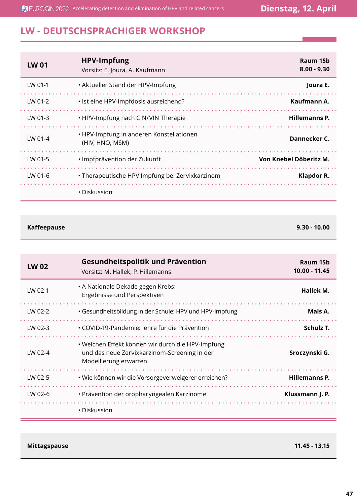**ACUROGIN 2022** Accelerating detection and elimination of HPV and related cancers **Dienstag, 12. April** 

# **LW - DEUTSCHSPRACHIGER WORKSHOP**

| <b>LW 01</b> | <b>HPV-Impfung</b><br>Vorsitz: E. Joura, A. Kaufmann        | Raum 15b<br>$8.00 - 9.30$ |
|--------------|-------------------------------------------------------------|---------------------------|
| LW 01-1      | • Aktueller Stand der HPV-Impfung                           | Joura E.                  |
| LW 01-2      | • Ist eine HPV-Impfdosis ausreichend?                       | Kaufmann A.               |
| LW 01-3      | • HPV-Impfung nach CIN/VIN Therapie                         | <b>Hillemanns P.</b>      |
| LW 01-4      | • HPV-Impfung in anderen Konstellationen<br>(HIV, HNO, MSM) | Dannecker C.              |
| LW 01-5      | • Impfprävention der Zukunft                                | Von Knebel Döberitz M.    |
| LW 01-6      | • Therapeutische HPV Impfung bei Zervixkarzinom             | Klapdor R.                |
|              | • Diskussion                                                |                           |

**Kaffeepause 9.30 - 10.00**

| <b>LW02</b> | Gesundheitspolitik und Prävention<br>Vorsitz: M. Hallek, P. Hillemanns                                                     | Raum 15b<br>10.00 - 11.45 |
|-------------|----------------------------------------------------------------------------------------------------------------------------|---------------------------|
| LW 02-1     | • A Nationale Dekade gegen Krebs:<br>Ergebnisse und Perspektiven                                                           | Hallek M.                 |
| LW 02-2     | · Gesundheitsbildung in der Schule: HPV und HPV-Impfung                                                                    | Mais A.                   |
| LW 02-3     | • COVID-19-Pandemie: lehre für die Prävention                                                                              | Schulz T.                 |
| LW 02-4     | • Welchen Effekt können wir durch die HPV-Impfung<br>und das neue Zervixkarzinom-Screening in der<br>Modellierung erwarten | Sroczynski G.             |
| LW 02-5     | · Wie können wir die Vorsorgeverweigerer erreichen?                                                                        | <b>Hillemanns P.</b>      |
| LW 02-6     | • Prävention der oropharyngealen Karzinome                                                                                 | Klussmann J. P.           |
|             | • Diskussion                                                                                                               |                           |

**Mittagspause 11.45 - 13.15**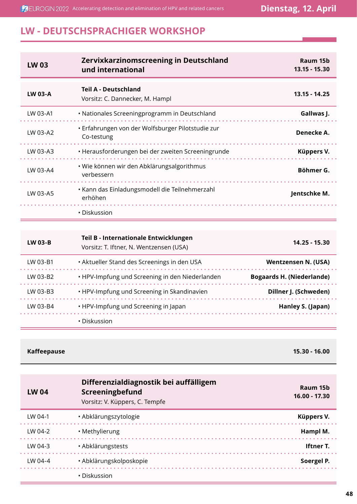**ACUROGIN 2022** Accelerating detection and elimination of HPV and related cancers **Dienstag, 12. April** 

## **LW - DEUTSCHSPRACHIGER WORKSHOP**

| <b>LW03</b>    | Zervixkarzinomscreening in Deutschland<br>und international     | Raum 15b<br>13.15 - 15.30 |
|----------------|-----------------------------------------------------------------|---------------------------|
| <b>LW 03-A</b> | <b>Teil A - Deutschland</b><br>Vorsitz: C. Dannecker, M. Hampl  | $13.15 - 14.25$           |
| LW 03-A1       | • Nationales Screeningprogramm in Deutschland                   | Gallwas J.                |
| LW 03-A2       | • Erfahrungen von der Wolfsburger Pilotstudie zur<br>Co-testung | Denecke A.                |
| LW 03-A3       | • Herausforderungen bei der zweiten Screeningrunde              | Küppers V.                |
| LW 03-A4       | • Wie können wir den Abklärungsalgorithmus<br>verbessern        | Böhmer G.                 |
| LW 03-A5       | • Kann das Einladungsmodell die Teilnehmerzahl<br>erhöhen       | Jentschke M.              |
|                | • Diskussion                                                    |                           |

| LW 03-B  | Teil B - Internationale Entwicklungen<br>Vorsitz: T. Iftner, N. Wentzensen (USA) | 14.25 - 15.30                    |
|----------|----------------------------------------------------------------------------------|----------------------------------|
| LW 03-B1 | • Aktueller Stand des Screenings in den USA                                      | Wentzensen N. (USA)              |
| LW 03-B2 | • HPV-Impfung und Screening in den Niederlanden                                  | <b>Bogaards H. (Niederlande)</b> |
| LW 03-B3 | • HPV-Impfung und Screening in Skandinavien                                      | Dillner J. (Schweden)            |
| LW 03-B4 | • HPV-Impfung und Screening in Japan                                             | Hanley S. (Japan)                |
|          | • Diskussion                                                                     |                                  |

#### **Kaffeepause 15.30 - 16.00**

| <b>LW 04</b> | Differenzialdiagnostik bei auffälligem<br>Screeningbefund<br>Vorsitz: V. Küppers, C. Tempfe | Raum 15b<br>16.00 - 17.30 |
|--------------|---------------------------------------------------------------------------------------------|---------------------------|
| LW 04-1      | · Abklärungszytologie                                                                       | Küppers V.                |
| LW 04-2      | • Methylierung                                                                              | Hampl M.                  |
| LW 04-3      | · Abklärungstests                                                                           | <b>Iftner T.</b>          |
| $1 W 04 - 4$ | · Abklärungskolposkopie                                                                     | Soergel P.                |
|              | • Diskussion                                                                                |                           |